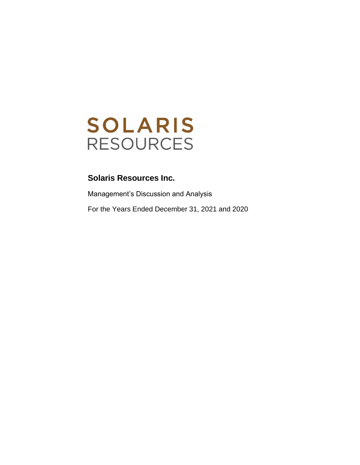

Management's Discussion and Analysis For the Years Ended December 31, 2021 and 2020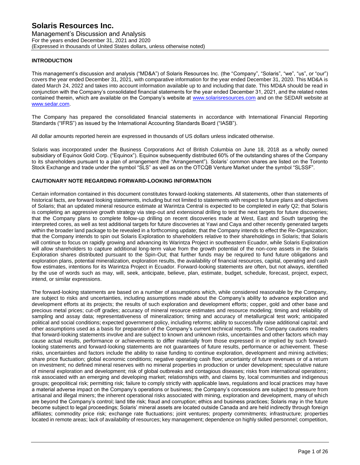Management's Discussion and Analysis For the years ended December 31, 2021 and 2020 (Expressed in thousands of United States dollars, unless otherwise noted)

# **INTRODUCTION**

This management's discussion and analysis ("MD&A") of Solaris Resources Inc. (the "Company", "Solaris", "we", "us", or "our") covers the year ended December 31, 2021, with comparative information for the year ended December 31, 2020. This MD&A is dated March 24, 2022 and takes into account information available up to and including that date. This MD&A should be read in conjunction with the Company's consolidated financial statements for the year ended December 31, 2021, and the related notes contained therein, which are available on the Company's website at [www.solarisresources.com](http://www.solarisresources.com/) and on the SEDAR website at [www.sedar.com.](http://www.sedar.com/)

The Company has prepared the consolidated financial statements in accordance with International Financial Reporting Standards ("IFRS") as issued by the International Accounting Standards Board ("IASB").

All dollar amounts reported herein are expressed in thousands of US dollars unless indicated otherwise.

Solaris was incorporated under the Business Corporations Act of British Columbia on June 18, 2018 as a wholly owned subsidiary of Equinox Gold Corp. ("Equinox"). Equinox subsequently distributed 60% of the outstanding shares of the Company to its shareholders pursuant to a plan of arrangement (the "Arrangement"). Solaris' common shares are listed on the Toronto Stock Exchange and trade under the symbol "SLS" as well as on the OTCQB Venture Market under the symbol "SLSSF".

# **CAUTIONARY NOTE REGARDING FORWARD-LOOKING INFORMATION**

Certain information contained in this document constitutes forward-looking statements. All statements, other than statements of historical facts, are forward looking statements, including but not limited to statements with respect to future plans and objectives of Solaris; that an updated mineral resource estimate at Warintza Central is expected to be completed in early Q2; that Solaris is completing an aggressive growth strategy via step-out and extensional drilling to test the next targets for future discoveries; that the Company plans to complete follow-up drilling on recent discoveries made at West, East and South targeting the interpreted cores, as well as test additional targets for future discoveries at Yawi and Caya and other recently generated targets within the broader land package to be revealed in a forthcoming update; that the Company intends to effect the Re-Organization; that the Company intends to spin out Solaris Exploration to shareholders relative to their shareholdings in Solaris; that Solaris will continue to focus on rapidly growing and advancing its Warintza Project in southeastern Ecuador, while Solaris Exploration will allow shareholders to capture additional long-term value from the growth potential of the non-core assets in the Solaris Exploration shares distributed pursuant to the Spin-Out; that further funds may be required to fund future obligations and exploration plans, potential mineralization, exploration results, the availability of financial resources, capital, operating and cash flow estimates, intentions for its Warintza Project in Ecuador. Forward-looking statements are often, but not always, identified by the use of words such as may, will, seek, anticipate, believe, plan, estimate, budget, schedule, forecast, project, expect, intend, or similar expressions.

The forward-looking statements are based on a number of assumptions which, while considered reasonable by the Company, are subject to risks and uncertainties, including assumptions made about the Company's ability to advance exploration and development efforts at its projects; the results of such exploration and development efforts; copper, gold and other base and precious metal prices; cut-off grades; accuracy of mineral resource estimates and resource modeling; timing and reliability of sampling and assay data; representativeness of mineralization; timing and accuracy of metallurgical test work; anticipated political and social conditions; expected government policy, including reforms; ability to successfully raise additional capital; and other assumptions used as a basis for preparation of the Company's current technical reports. The Company cautions readers that forward-looking statements involve and are subject to known and unknown risks, uncertainties and other factors which may cause actual results, performance or achievements to differ materially from those expressed in or implied by such forwardlooking statements and forward-looking statements are not guarantees of future results, performance or achievement. These risks, uncertainties and factors include the ability to raise funding to continue exploration, development and mining activities; share price fluctuation; global economic conditions; negative operating cash flow; uncertainty of future revenues or of a return on investment; no defined mineral reserves with no mineral properties in production or under development; speculative nature of mineral exploration and development; risk of global outbreaks and contagious diseases; risks from international operations; risk associated with an emerging and developing market; relationships with, and claims by, local communities and indigenous groups; geopolitical risk; permitting risk; failure to comply strictly with applicable laws, regulations and local practices may have a material adverse impact on the Company's operations or business; the Company's concessions are subject to pressure from artisanal and illegal miners; the inherent operational risks associated with mining, exploration and development, many of which are beyond the Company's control; land title risk; fraud and corruption; ethics and business practices; Solaris may in the future become subject to legal proceedings; Solaris' mineral assets are located outside Canada and are held indirectly through foreign affiliates; commodity price risk; exchange rate fluctuations; joint ventures; property commitments; infrastructure; properties located in remote areas; lack of availability of resources; key management; dependence on highly skilled personnel; competition,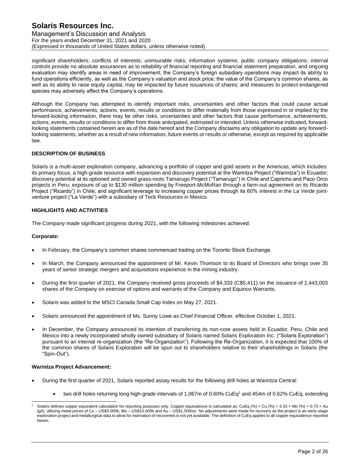Management's Discussion and Analysis For the years ended December 31, 2021 and 2020 (Expressed in thousands of United States dollars, unless otherwise noted)

significant shareholders; conflicts of interests; uninsurable risks; information systems; public company obligations; internal controls provide no absolute assurances as to reliability of financial reporting and financial statement preparation, and ongoing evaluation may identify areas in need of improvement; the Company's foreign subsidiary operations may impact its ability to fund operations efficiently, as well as the Company's valuation and stock price; the value of the Company's common shares, as well as its ability to raise equity capital, may be impacted by future issuances of shares; and measures to protect endangered species may adversely affect the Company's operations.

Although the Company has attempted to identify important risks, uncertainties and other factors that could cause actual performance, achievements, actions, events, results or conditions to differ materially from those expressed in or implied by the forward-looking information, there may be other risks, uncertainties and other factors that cause performance, achievements, actions, events, results or conditions to differ from those anticipated, estimated or intended. Unless otherwise indicated, forwardlooking statements contained herein are as of the date hereof and the Company disclaims any obligation to update any forwardlooking statements, whether as a result of new information, future events or results or otherwise, except as required by applicable law.

## **DESCRIPTION OF BUSINESS**

Solaris is a multi-asset exploration company, advancing a portfolio of copper and gold assets in the Americas, which includes: its primary focus, a high-grade resource with expansion and discovery potential at the Warintza Project ("Warintza") in Ecuador; discovery potential at its optioned and owned grass-roots Tamarugo Project ("Tamarugo") in Chile and Capricho and Paco Orco projects in Peru; exposure of up to \$130 million spending by Freeport-McMoRan through a farm-out agreement on its Ricardo Project ("Ricardo") in Chile; and significant leverage to increasing copper prices through its 60% interest in the La Verde jointventure project ("La Verde") with a subsidiary of Teck Resources in Mexico.

## **HIGHLIGHTS AND ACTIVITIES**

The Company made significant progress during 2021, with the following milestones achieved:

## **Corporate:**

- In February, the Company's common shares commenced trading on the Toronto Stock Exchange.
- In March, the Company announced the appointment of Mr. Kevin Thomson to its Board of Directors who brings over 35 years of senior strategic mergers and acquisitions experience in the mining industry.
- During the first quarter of 2021, the Company received gross proceeds of \$4,333 (C\$5,411) on the issuance of 2,443,003 shares of the Company on exercise of options and warrants of the Company and Equinox Warrants.
- Solaris was added to the MSCI Canada Small Cap Index on May 27, 2021.
- Solaris announced the appointment of Ms. Sunny Lowe as Chief Financial Officer, effective October 1, 2021.
- In December, the Company announced its intention of transferring its non-core assets held in Ecuador, Peru, Chile and Mexico into a newly incorporated wholly owned subsidiary of Solaris named Solaris Exploration Inc. ("Solaris Exploration") pursuant to an internal re-organization (the "Re-Organization"). Following the Re-Organization, it is expected that 100% of the common shares of Solaris Exploration will be spun out to shareholders relative to their shareholdings in Solaris (the "Spin-Out").

## **Warintza Project Advancement:**

- During the first quarter of 2021, Solaris reported assay results for the following drill holes at Warintza Central:
	- two drill holes returning long high-grade intervals of 1,067m of 0.60% CuEq<sup>1</sup> and 454m of 0.62% CuEq, extending

Solaris defines copper equivalent calculation for reporting purposes only. Copper-equivalence is calculated as: CuEq (%) = Cu (%) + 3.33 x Mo (%) + 0.73 x Au (g/t), utilizing metal prices of Cu – US\$3.00/lb, Mo – US\$10.00/lb and Au – US\$1,500/oz. No adjustments were made for recovery as the project is an early-stage exploration project and metallurgical data to allow for estimation of recoveries is not yet available. The definition of CuEq applies to all copper-equivalence reported herein.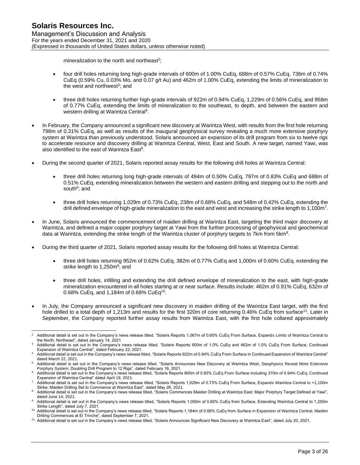mineralization to the north and northeast<sup>2</sup>;

- four drill holes returning long high-grade intervals of 600m of 1.00% CuEq, 688m of 0.57% CuEq, 736m of 0.74% CuEq (0.59% Cu, 0.03% Mo, and 0.07 g/t Au) and 462m of 1.00% CuEq, extending the limits of mineralization to the west and northwest<sup>3</sup>; and
- three drill holes returning further high-grade intervals of 922m of 0.94% CuEq, 1,229m of 0.56% CuEq, and 958m of 0.77% CuEq, extending the limits of mineralization to the southeast, to depth, and between the eastern and western drilling at Warintza Central<sup>4</sup>.
- In February, the Company announced a significant new discovery at Warintza West, with results from the first hole returning 798m of 0.31% CuEq, as well as results of the inaugural geophysical survey revealing a much more extensive porphyry system at Warintza than previously understood. Solaris announced an expansion of its drill program from six to twelve rigs to accelerate resource and discovery drilling at Warintza Central, West, East and South. A new target, named Yawi, was also identified to the east of Warintza East<sup>5</sup>.
- During the second quarter of 2021, Solaris reported assay results for the following drill holes at Warintza Central:
	- three drill holes returning long high-grade intervals of 494m of 0.50% CuEq, 797m of 0.83% CuEq and 688m of 0.51% CuEq, extending mineralization between the western and eastern drilling and stepping out to the north and south<sup>6</sup>; and
	- three drill holes returning 1,029m of 0.73% CuEq, 238m of 0.68% CuEq, and 548m of 0.42% CuEq, extending the drill defined envelope of high-grade mineralization to the east and west and increasing the strike length to 1,100m<sup>7</sup>.
- In June, Solaris announced the commencement of maiden drilling at Warintza East, targeting the third major discovery at Warintza, and defined a major copper porphyry target at Yawi from the further processing of geophysical and geochemical data at Warintza, extending the strike length of the Warintza cluster of porphyry targets to 7km from 5km<sup>8</sup>.
- During the third quarter of 2021, Solaris reported assay results for the following drill holes at Warintza Central:
	- three drill holes returning 952m of 0.62% CuEq, 382m of 0.77% CuEq and 1,000m of 0.60% CuEq, extending the strike length to 1,250m<sup>9</sup>; and
	- three drill holes, infilling and extending the drill defined envelope of mineralization to the east, with high-grade mineralization encountered in all holes starting at or near surface. Results include: 462m of 0.91% CuEq, 632m of 0.68% CuEq, and 1,184m of 0.68% CuEq<sup>10</sup>.
- In July, the Company announced a significant new discovery in maiden drilling of the Warintza East target, with the first hole drilled to a total depth of 1,213m and results for the first 320m of core returning 0.46% CuEq from surface<sup>11</sup>. Later in September, the Company reported further assay results from Warintza East, with the first hole collared approximately

Additional detail is set out in the Company's news release titled, "Solaris Reports 1,067m of 0.60% CuEq From Surface, Expands Limits of Warintza Central to the North, Northeast", dated January 14, 2021.

Additional detail is set out in the Company's news release titled, "Solaris Reports 600m of 1.0% CuEq and 462m of 1.0% CuEq From Surface, Continued Expansion of Warintza Central", dated February 22, 2021.

<sup>4</sup> Additional detail is set out in the Company's news release titled, "Solaris Reports 922m of 0.94% CuEq From Surface in Continued Expansion of Warintza Central" dated March 22, 2021.

Additional detail is set out in the Company's news release titled, "Solaris Announces New Discovery at Warintza West, Geophysics Reveal More Extensive Porphyry System; Doubling Drill Program to 12 Rigs", dated February 16, 2021.

<sup>6</sup> Additional detail is set out in the Company's news release titled, "Solaris Reports 800m of 0.83% CuEq From Surface including 370m of 0.94% CuEq; Continued Expansion of Warintza Central" dated April 19, 2021.

Additional detail is set out in the Company's news release titled, "Solaris Reports 1,029m of 0.73% CuEq From Surface, Expands Warintza Central to +1,100m Strike; Maiden Drilling Set to Commence at Warintza East", dated May 26, 2021.

<sup>8</sup> Additional detail is set out in the Company's news release titled, "Solaris Commences Maiden Drilling at Warintza East; Major Porphyry Target Defined at Yawi", dated June 14, 2021.

Additional detail is set out in the Company's news release titled, "Solaris Reports 1,000m of 0.60% CuEq from Surface, Extending Warintza Central to 1,250m Strike Length", dated July 7, 2021.

<sup>10</sup> Additional detail is set out in the Company's news release titled, "Solaris Reports 1,184m of 0.68% CuEq from Surface in Expansion of Warintza Central; Maiden Drilling Commences at El Trinche", dated September 7, 2021.

<sup>11</sup> Additional detail is set out in the Company's news release titled, "Solaris Announces Significant New Discovery at Warintza East", dated July 20, 2021.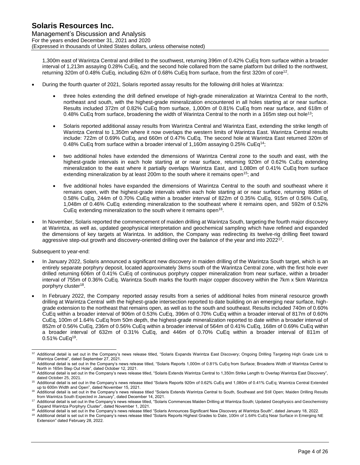1,300m east of Warintza Central and drilled to the southwest, returning 396m of 0.42% CuEq from surface within a broader interval of 1,213m assaying 0.28% CuEq, and the second hole collared from the same platform but drilled to the northwest, returning 320m of 0.48% CuEq, including 62m of 0.68% CuEq from surface, from the first 320m of core<sup>12</sup>.

- During the fourth quarter of 2021, Solaris reported assay results for the following drill holes at Warintza:
	- three holes extending the drill defined envelope of high-grade mineralization at Warintza Central to the north, northeast and south, with the highest-grade mineralization encountered in all holes starting at or near surface. Results included 372m of 0.82% CuEq from surface, 1,000m of 0.81% CuEq from near surface, and 618m of 0.48% CuEq from surface, broadening the width of Warintza Central to the north in a 165m step out hole<sup>13</sup>;
	- Solaris reported additional assay results from Warintza Central and Warintza East, extending the strike length of Warintza Central to 1,350m where it now overlaps the western limits of Warintza East. Warintza Central results include: 722m of 0.69% CuEq, and 660m of 0.47% CuEq. The second hole at Warintza East returned 320m of 0.48% CuEq from surface within a broader interval of 1,160m assaying 0.25% CuEq<sup>14</sup>;
	- two additional holes have extended the dimensions of Warintza Central zone to the south and east, with the highest-grade intervals in each hole starting at or near surface, returning 920m of 0.62% CuEq extending mineralization to the east where it partially overlaps Warintza East, and 1,080m of 0.41% CuEq from surface extending mineralization by at least 200m to the south where it remains open<sup>15</sup>; and
	- five additional holes have expanded the dimensions of Warintza Central to the south and southeast where it remains open, with the highest-grade intervals within each hole starting at or near surface, returning 868m of 0.58% CuEq, 244m of 0.70% CuEq within a broader interval of 822m of 0.35% CuEq, 915m of 0.56% CuEq, 1,048m of 0.46% CuEq extending mineralization to the southeast where it remains open, and 592m of 0.52% CuEq extending mineralization to the south where it remains open<sup>16</sup>.
- In November, Solaris reported the commencement of maiden drilling at Warintza South, targeting the fourth major discovery at Warintza, as well as, updated geophysical interpretation and geochemical sampling which have refined and expanded the dimensions of key targets at Warintza. In addition, the Company was redirecting its twelve-rig drilling fleet toward aggressive step-out growth and discovery-oriented drilling over the balance of the year and into 2022<sup>17</sup>.

## Subsequent to year-end:

- In January 2022, Solaris announced a significant new discovery in maiden drilling of the Warintza South target, which is an entirely separate porphyry deposit, located approximately 3kms south of the Warintza Central zone, with the first hole ever drilled returning 606m of 0.41% CuEq of continuous porphyry copper mineralization from near surface, within a broader interval of 755m of 0.36% CuEq. Warintza South marks the fourth major copper discovery within the 7km x 5km Warintza porphyry cluster<sup>18</sup>.
- In February 2022, the Company reported assay results from a series of additional holes from mineral resource growth drilling at Warintza Central with the highest-grade intersection reported to date building on an emerging near surface, highgrade extension to the northeast that remains open, as well as to the south and southeast. Results included 740m of 0.60% CuEq within a broader interval of 906m of 0.53% CuEq, 396m of 0.70% CuEq within a broader interval of 817m of 0.60% CuEq, 100m of 1.64% CuEq from 50m depth, the highest-grade mineralization reported to date within a broader interval of 852m of 0.56% CuEq, 236m of 0.56% CuEq within a broader interval of 564m of 0.41% CuEq, 168m of 0.69% CuEq within a broader interval of 632m of 0.31% CuEq, and 446m of 0.70% CuEq within a broader interval of 811m of 0.51% CuEq<sup>19</sup>.

<sup>&</sup>lt;sup>12</sup> Additional detail is set out in the Company's news release titled, "Solaris Expands Warintza East Discovery; Ongoing Drilling Targeting High Grade Link to Warintza Central", dated September 27, 2021.

<sup>13</sup> Additional detail is set out in the Company's news release titled, "Solaris Reports 1,000m of 0.81% CuEq from Surface; Broadens Width of Warintza Central to North in 165m Step Out Hole", dated October 12, 2021.

<sup>14</sup> Additional detail is set out in the Company's news release titled, "Solaris Extends Warintza Central to 1,350m Strike Length to Overlap Warintza East Discovery", dated October 25, 2021.

<sup>&</sup>lt;sup>15</sup> Additional detail is set out in the Company's news release titled "Solaris Reports 920m of 0.62% CuEq and 1,080m of 0.41% CuEq; Warintza Central Extended up to 600m Width and Open", dated November 15, 2021.

<sup>16</sup> Additional detail is set out in the Company's news release titled "Solaris Extends Warintza Central to South, Southeast and Still Open; Maiden Drilling Results from Warintza South Expected in January", dated December 14, 2021.

<sup>17</sup> Additional detail is set out in the Company's news release titled, "Solaris Commences Maiden Drilling at Warintza South; Updated Geophysics and Geochemistry Expand Warintza Porphyry Cluster", dated November 1, 2021.

<sup>18</sup> Additional detail is set out in the Company's news release titled "Solaris Announces Significant New Discovery at Warintza South", dated January 18, 2022.

<sup>&</sup>lt;sup>19</sup> Additional detail is set out in the Company's news release titled "Solaris Reports Highest Grades to Date, 100m of 1.64% CuEq Near Surface in Emerging NE Extension" dated February 28, 2022.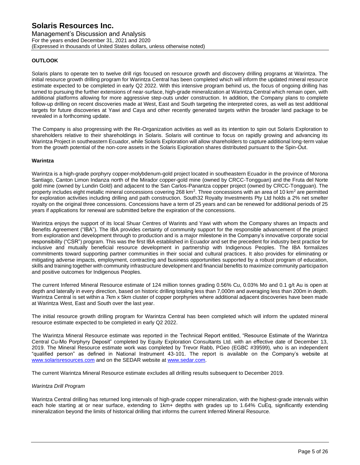Management's Discussion and Analysis For the years ended December 31, 2021 and 2020 (Expressed in thousands of United States dollars, unless otherwise noted)

# **OUTLOOK**

Solaris plans to operate ten to twelve drill rigs focused on resource growth and discovery drilling programs at Warintza. The initial resource growth drilling program for Warintza Central has been completed which will inform the updated mineral resource estimate expected to be completed in early Q2 2022. With this intensive program behind us, the focus of ongoing drilling has turned to pursuing the further extensions of near-surface, high-grade mineralization at Warintza Central which remain open, with additional platforms allowing for more aggressive step-outs under construction. In addition, the Company plans to complete follow-up drilling on recent discoveries made at West, East and South targeting the interpreted cores, as well as test additional targets for future discoveries at Yawi and Caya and other recently generated targets within the broader land package to be revealed in a forthcoming update.

The Company is also progressing with the Re-Organization activities as well as its intention to spin out Solaris Exploration to shareholders relative to their shareholdings in Solaris. Solaris will continue to focus on rapidly growing and advancing its Warintza Project in southeastern Ecuador, while Solaris Exploration will allow shareholders to capture additional long-term value from the growth potential of the non-core assets in the Solaris Exploration shares distributed pursuant to the Spin-Out.

## **Warintza**

Warintza is a high-grade porphyry copper-molybdenum-gold project located in southeastern Ecuador in the province of Morona Santiago, Canton Limon Indanza north of the Mirador copper-gold mine (owned by CRCC-Tongguan) and the Fruta del Norte gold mine (owned by Lundin Gold) and adjacent to the San Carlos-Panantza copper project (owned by CRCC-Tongguan). The property includes eight metallic mineral concessions covering 268 km<sup>2</sup>. Three concessions with an area of 10 km<sup>2</sup> are permitted for exploration activities including drilling and path construction. South32 Royalty Investments Pty Ltd holds a 2% net smelter royalty on the original three concessions. Concessions have a term of 25 years and can be renewed for additional periods of 25 years if applications for renewal are submitted before the expiration of the concessions.

Warintza enjoys the support of its local Shuar Centres of Warints and Yawi with whom the Company shares an Impacts and Benefits Agreement ("IBA"). The IBA provides certainty of community support for the responsible advancement of the project from exploration and development through to production and is a major milestone in the Company's innovative corporate social responsibility ("CSR") program. This was the first IBA established in Ecuador and set the precedent for industry best practice for inclusive and mutually beneficial resource development in partnership with Indigenous Peoples. The IBA formalizes commitments toward supporting partner communities in their social and cultural practices. It also provides for eliminating or mitigating adverse impacts, employment, contracting and business opportunities supported by a robust program of education, skills and training together with community infrastructure development and financial benefits to maximize community participation and positive outcomes for Indigenous Peoples.

The current Inferred Mineral Resource estimate of 124 million tonnes grading 0.56% Cu, 0.03% Mo and 0.1 g/t Au is open at depth and laterally in every direction, based on historic drilling totaling less than 7,000m and averaging less than 200m in depth. Warintza Central is set within a 7km x 5km cluster of copper porphyries where additional adjacent discoveries have been made at Warintza West, East and South over the last year.

The initial resource growth drilling program for Warintza Central has been completed which will inform the updated mineral resource estimate expected to be completed in early Q2 2022.

The Warintza Mineral Resource estimate was reported in the Technical Report entitled, "Resource Estimate of the Warintza Central Cu-Mo Porphyry Deposit" completed by Equity Exploration Consultants Ltd. with an effective date of December 13, 2019. The Mineral Resource estimate work was completed by Trevor Rabb, PGeo (EGBC #39599), who is an independent "qualified person" as defined in National Instrument 43-101. The report is available on the Company's website at [www.solarisresources.com](http://www.solarisresources.com/) and on the SEDAR website at [www.sedar.com.](http://www.sedar.com/)

The current Warintza Mineral Resource estimate excludes all drilling results subsequent to December 2019.

## *Warintza Drill Program*

Warintza Central drilling has returned long intervals of high-grade copper mineralization, with the highest-grade intervals within each hole starting at or near surface, extending to 1km+ depths with grades up to 1.64% CuEq, significantly extending mineralization beyond the limits of historical drilling that informs the current Inferred Mineral Resource.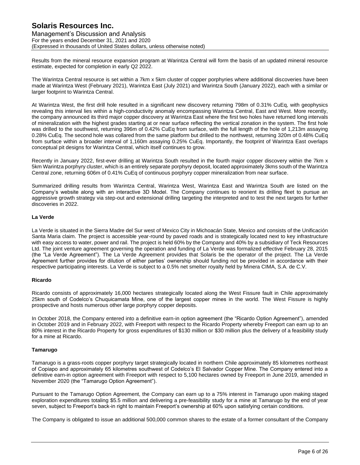Management's Discussion and Analysis For the years ended December 31, 2021 and 2020 (Expressed in thousands of United States dollars, unless otherwise noted)

Results from the mineral resource expansion program at Warintza Central will form the basis of an updated mineral resource estimate, expected for completion in early Q2 2022.

The Warintza Central resource is set within a 7km x 5km cluster of copper porphyries where additional discoveries have been made at Warintza West (February 2021), Warintza East (July 2021) and Warintza South (January 2022), each with a similar or larger footprint to Warintza Central.

At Warintza West, the first drill hole resulted in a significant new discovery returning 798m of 0.31% CuEq, with geophysics revealing this interval lies within a high-conductivity anomaly encompassing Warintza Central, East and West. More recently, the company announced its third major copper discovery at Warintza East where the first two holes have returned long intervals of mineralization with the highest grades starting at or near surface reflecting the vertical zonation in the system. The first hole was drilled to the southwest, returning 396m of 0.42% CuEq from surface, with the full length of the hole of 1,213m assaying 0.28% CuEq. The second hole was collared from the same platform but drilled to the northwest, returning 320m of 0.48% CuEq from surface within a broader interval of 1,160m assaying 0.25% CuEq. Importantly, the footprint of Warintza East overlaps conceptual pit designs for Warintza Central, which itself continues to grow.

Recently in January 2022, first-ever drilling at Warintza South resulted in the fourth major copper discovery within the 7km x 5km Warintza porphyry cluster, which is an entirely separate porphyry deposit, located approximately 3kms south of the Warintza Central zone, returning 606m of 0.41% CuEq of continuous porphyry copper mineralization from near surface.

Summarized drilling results from Warintza Central, Warintza West, Warintza East and Warintza South are listed on the Company's website along with an interactive 3D Model. The Company continues to reorient its drilling fleet to pursue an aggressive growth strategy via step-out and extensional drilling targeting the interpreted and to test the next targets for further discoveries in 2022.

## **La Verde**

La Verde is situated in the Sierra Madre del Sur west of Mexico City in Michoacán State, Mexico and consists of the Unificación Santa Maria claim. The project is accessible year-round by paved roads and is strategically located next to key infrastructure with easy access to water, power and rail. The project is held 60% by the Company and 40% by a subsidiary of Teck Resources Ltd. The joint venture agreement governing the operation and funding of La Verde was formalized effective February 28, 2015 (the "La Verde Agreement"). The La Verde Agreement provides that Solaris be the operator of the project. The La Verde Agreement further provides for dilution of either parties' ownership should funding not be provided in accordance with their respective participating interests. La Verde is subject to a 0.5% net smelter royalty held by Minera CIMA, S.A. de C.V.

## **Ricardo**

Ricardo consists of approximately 16,000 hectares strategically located along the West Fissure fault in Chile approximately 25km south of Codelco's Chuquicamata Mine, one of the largest copper mines in the world. The West Fissure is highly prospective and hosts numerous other large porphyry copper deposits.

In October 2018, the Company entered into a definitive earn-in option agreement (the "Ricardo Option Agreement"), amended in October 2019 and in February 2022, with Freeport with respect to the Ricardo Property whereby Freeport can earn up to an 80% interest in the Ricardo Property for gross expenditures of \$130 million or \$30 million plus the delivery of a feasibility study for a mine at Ricardo.

## **Tamarugo**

Tamarugo is a grass-roots copper porphyry target strategically located in northern Chile approximately 85 kilometres northeast of Copiapo and approximately 65 kilometres southwest of Codelco's El Salvador Copper Mine. The Company entered into a definitive earn-in option agreement with Freeport with respect to 5,100 hectares owned by Freeport in June 2019, amended in November 2020 (the "Tamarugo Option Agreement").

Pursuant to the Tamarugo Option Agreement, the Company can earn up to a 75% interest in Tamarugo upon making staged exploration expenditures totaling \$5.5 million and delivering a pre-feasibility study for a mine at Tamarugo by the end of year seven, subject to Freeport's back-in right to maintain Freeport's ownership at 60% upon satisfying certain conditions.

The Company is obligated to issue an additional 500,000 common shares to the estate of a former consultant of the Company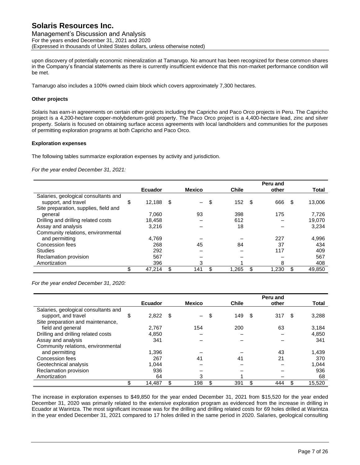Management's Discussion and Analysis For the years ended December 31, 2021 and 2020 (Expressed in thousands of United States dollars, unless otherwise noted)

upon discovery of potentially economic mineralization at Tamarugo. No amount has been recognized for these common shares in the Company's financial statements as there is currently insufficient evidence that this non-market performance condition will be met.

Tamarugo also includes a 100% owned claim block which covers approximately 7,300 hectares.

### **Other projects**

Solaris has earn-in agreements on certain other projects including the Capricho and Paco Orco projects in Peru. The Capricho project is a 4,200-hectare copper-molybdenum-gold property. The Paco Orco project is a 4,400-hectare lead, zinc and silver property. Solaris is focused on obtaining surface access agreements with local landholders and communities for the purposes of permitting exploration programs at both Capricho and Paco Orco.

#### **Exploration expenses**

The following tables summarize exploration expenses by activity and jurisdiction.

*For the year ended December 31, 2021:*

|                                       |                |      |                          |              |   | Peru and |    |              |
|---------------------------------------|----------------|------|--------------------------|--------------|---|----------|----|--------------|
|                                       | <b>Ecuador</b> |      | <b>Mexico</b>            | <b>Chile</b> |   | other    |    | <b>Total</b> |
| Salaries, geological consultants and  |                |      |                          |              |   |          |    |              |
| support, and travel                   | \$<br>12,188   | - \$ | $\overline{\phantom{0}}$ | \$<br>152    | S | 666      | S  | 13,006       |
| Site preparation, supplies, field and |                |      |                          |              |   |          |    |              |
| general                               | 7,060          |      | 93                       | 398          |   | 175      |    | 7,726        |
| Drilling and drilling related costs   | 18.458         |      |                          | 612          |   |          |    | 19,070       |
| Assay and analysis                    | 3,216          |      |                          | 18           |   |          |    | 3,234        |
| Community relations, environmental    |                |      |                          |              |   |          |    |              |
| and permitting                        | 4,769          |      |                          |              |   | 227      |    | 4,996        |
| Concession fees                       | 268            |      | 45                       | 84           |   | 37       |    | 434          |
| <b>Studies</b>                        | 292            |      |                          |              |   | 117      |    | 409          |
| Reclamation provision                 | 567            |      |                          |              |   |          |    | 567          |
| Amortization                          | 396            |      | 3                        |              |   | 8        |    | 408          |
|                                       | 47,214         |      | 141                      | 1.265        |   | 1,230    | \$ | 49,850       |

*For the year ended December 31, 2020:*

|                                      | <b>Ecuador</b> |   | <b>Mexico</b> | <b>Chile</b> | Peru and<br>other | <b>Total</b> |
|--------------------------------------|----------------|---|---------------|--------------|-------------------|--------------|
| Salaries, geological consultants and |                |   |               |              |                   |              |
| support, and travel                  | \$<br>2,822    | S |               | \$<br>149    | \$<br>317         | \$<br>3,288  |
| Site preparation and maintenance,    |                |   |               |              |                   |              |
| field and general                    | 2,767          |   | 154           | 200          | 63                | 3,184        |
| Drilling and drilling related costs  | 4,850          |   |               |              |                   | 4,850        |
| Assay and analysis                   | 341            |   |               |              |                   | 341          |
| Community relations, environmental   |                |   |               |              |                   |              |
| and permitting                       | 1,396          |   |               |              | 43                | 1,439        |
| Concession fees                      | 267            |   | 41            | 41           | 21                | 370          |
| Geotechnical analysis                | 1,044          |   |               |              |                   | 1,044        |
| Reclamation provision                | 936            |   |               |              |                   | 936          |
| Amortization                         | 64             |   | 3             |              |                   | 68           |
|                                      | 14,487         |   | 198           | 391          | 444               | 15,520       |

The increase in exploration expenses to \$49,850 for the year ended December 31, 2021 from \$15,520 for the year ended December 31, 2020 was primarily related to the extensive exploration program as evidenced from the increase in drilling in Ecuador at Warintza. The most significant increase was for the drilling and drilling related costs for 69 holes drilled at Warintza in the year ended December 31, 2021 compared to 17 holes drilled in the same period in 2020. Salaries, geological consulting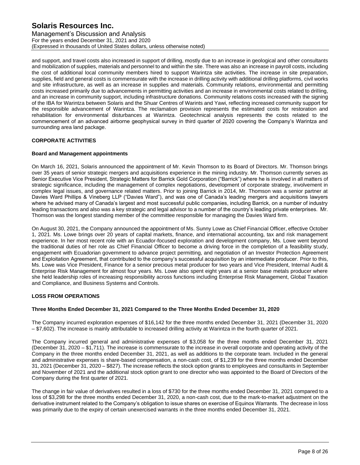Management's Discussion and Analysis For the years ended December 31, 2021 and 2020 (Expressed in thousands of United States dollars, unless otherwise noted)

and support, and travel costs also increased in support of drilling, mostly due to an increase in geological and other consultants and mobilization of supplies, materials and personnel to and within the site. There was also an increase in payroll costs, including the cost of additional local community members hired to support Warintza site activities. The increase in site preparation, supplies, field and general costs is commensurate with the increase in drilling activity with additional drilling platforms, civil works and site infrastructure, as well as an increase in supplies and materials. Community relations, environmental and permitting costs increased primarily due to advancements in permitting activities and an increase in environmental costs related to drilling, and an increase in community support, including infrastructure donations. Community relations costs increased with the signing of the IBA for Warintza between Solaris and the Shuar Centres of Warints and Yawi, reflecting increased community support for the responsible advancement of Warintza. The reclamation provision represents the estimated costs for restoration and rehabilitation for environmental disturbances at Warintza. Geotechnical analysis represents the costs related to the commencement of an advanced airborne geophysical survey in third quarter of 2020 covering the Company's Warintza and surrounding area land package.

# **CORPORATE ACTIVITIES**

# **Board and Management appointments**

On March 16, 2021, Solaris announced the appointment of Mr. Kevin Thomson to its Board of Directors. Mr. Thomson brings over 35 years of senior strategic mergers and acquisitions experience in the mining industry. Mr. Thomson currently serves as Senior Executive Vice President, Strategic Matters for Barrick Gold Corporation ("Barrick") where he is involved in all matters of strategic significance, including the management of complex negotiations, development of corporate strategy, involvement in complex legal issues, and governance related matters. Prior to joining Barrick in 2014, Mr. Thomson was a senior partner at Davies Ward Phillips & Vineberg LLP ("Davies Ward"), and was one of Canada's leading mergers and acquisitions lawyers where he advised many of Canada's largest and most successful public companies, including Barrick, on a number of industry leading transactions and also was a key strategic and legal advisor to a number of the country's leading private enterprises. Mr. Thomson was the longest standing member of the committee responsible for managing the Davies Ward firm.

On August 30, 2021, the Company announced the appointment of Ms. Sunny Lowe as Chief Financial Officer, effective October 1, 2021. Ms. Lowe brings over 20 years of capital markets, finance, and international accounting, tax and risk management experience. In her most recent role with an Ecuador-focused exploration and development company, Ms. Lowe went beyond the traditional duties of her role as Chief Financial Officer to become a driving force in the completion of a feasibility study, engagement with Ecuadorian government to advance project permitting, and negotiation of an Investor Protection Agreement and Exploitation Agreement, that contributed to the company's successful acquisition by an intermediate producer. Prior to this, Ms. Lowe was Vice President, Finance for a senior precious metal producer for two years and Vice President, Internal Audit & Enterprise Risk Management for almost four years. Ms. Lowe also spent eight years at a senior base metals producer where she held leadership roles of increasing responsibility across functions including Enterprise Risk Management, Global Taxation and Compliance, and Business Systems and Controls.

# **LOSS FROM OPERATIONS**

# **Three Months Ended December 31, 2021 Compared to the Three Months Ended December 31, 2020**

The Company incurred exploration expenses of \$16,142 for the three months ended December 31, 2021 (December 31, 2020 – \$7,602). The increase is mainly attributable to increased drilling activity at Warintza in the fourth quarter of 2021.

The Company incurred general and administrative expenses of \$3,058 for the three months ended December 31, 2021 (December 31, 2020 – \$1,711). The increase is commensurate to the increase in overall corporate and operating activity of the Company in the three months ended December 31, 2021, as well as additions to the corporate team. Included in the general and administrative expenses is share-based compensation, a non-cash cost, of \$1,239 for the three months ended December 31, 2021 (December 31, 2020 – \$827). The increase reflects the stock option grants to employees and consultants in September and November of 2021 and the additional stock option grant to one director who was appointed to the Board of Directors of the Company during the first quarter of 2021.

The change in fair value of derivatives resulted in a loss of \$730 for the three months ended December 31, 2021 compared to a loss of \$3,298 for the three months ended December 31, 2020, a non-cash cost, due to the mark-to-market adjustment on the derivative instrument related to the Company's obligation to issue shares on exercise of Equinox Warrants. The decrease in loss was primarily due to the expiry of certain unexercised warrants in the three months ended December 31, 2021.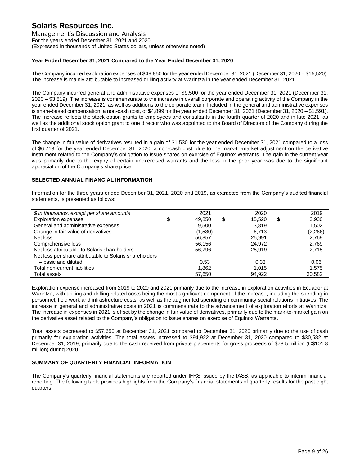## **Year Ended December 31, 2021 Compared to the Year Ended December 31, 2020**

The Company incurred exploration expenses of \$49,850 for the year ended December 31, 2021 (December 31, 2020 – \$15,520). The increase is mainly attributable to increased drilling activity at Warintza in the year ended December 31, 2021.

The Company incurred general and administrative expenses of \$9,500 for the year ended December 31, 2021 (December 31, 2020 – \$3,819). The increase is commensurate to the increase in overall corporate and operating activity of the Company in the year ended December 31, 2021, as well as additions to the corporate team. Included in the general and administrative expenses is share-based compensation, a non-cash cost, of \$4,899 for the year ended December 31, 2021 (December 31, 2020 – \$1,591). The increase reflects the stock option grants to employees and consultants in the fourth quarter of 2020 and in late 2021, as well as the additional stock option grant to one director who was appointed to the Board of Directors of the Company during the first quarter of 2021.

The change in fair value of derivatives resulted in a gain of \$1,530 for the year ended December 31, 2021 compared to a loss of \$6,713 for the year ended December 31, 2020, a non-cash cost, due to the mark-to-market adjustment on the derivative instrument related to the Company's obligation to issue shares on exercise of Equinox Warrants. The gain in the current year was primarily due to the expiry of certain unexercised warrants and the loss in the prior year was due to the significant appreciation of the Company's share price.

## **SELECTED ANNUAL FINANCIAL INFORMATION**

Information for the three years ended December 31, 2021, 2020 and 2019, as extracted from the Company's audited financial statements, is presented as follows:

| \$ in thousands, except per share amounts               | 2021         | 2020         | 2019        |
|---------------------------------------------------------|--------------|--------------|-------------|
| <b>Exploration expenses</b>                             | \$<br>49.850 | \$<br>15.520 | \$<br>3,930 |
| General and administrative expenses                     | 9.500        | 3.819        | 1.502       |
| Change in fair value of derivatives                     | (1,530)      | 6.713        | (2,266)     |
| Net loss                                                | 56.857       | 25.991       | 2,769       |
| Comprehensive loss                                      | 56.156       | 24.972       | 2,769       |
| Net loss attributable to Solaris shareholders           | 56.796       | 25.919       | 2.715       |
| Net loss per share attributable to Solaris shareholders |              |              |             |
| - basic and diluted                                     | 0.53         | 0.33         | 0.06        |
| Total non-current liabilities                           | 1.862        | 1.015        | 1.575       |
| Total assets                                            | 57.650       | 94.922       | 30.582      |

Exploration expense increased from 2019 to 2020 and 2021 primarily due to the increase in exploration activities in Ecuador at Warintza, with drilling and drilling related costs being the most significant component of the increase, including the spending in personnel, field work and infrastructure costs, as well as the augmented spending on community social relations initiatives. The increase in general and administrative costs in 2021 is commensurate to the advancement of exploration efforts at Warintza. The increase in expenses in 2021 is offset by the change in fair value of derivatives, primarily due to the mark-to-market gain on the derivative asset related to the Company's obligation to issue shares on exercise of Equinox Warrants.

Total assets decreased to \$57,650 at December 31, 2021 compared to December 31, 2020 primarily due to the use of cash primarily for exploration activities. The total assets increased to \$94,922 at December 31, 2020 compared to \$30,582 at December 31, 2019, primarily due to the cash received from private placements for gross proceeds of \$78.5 million (C\$101.8 million) during 2020.

## **SUMMARY OF QUARTERLY FINANCIAL INFORMATION**

The Company's quarterly financial statements are reported under IFRS issued by the IASB, as applicable to interim financial reporting. The following table provides highlights from the Company's financial statements of quarterly results for the past eight quarters.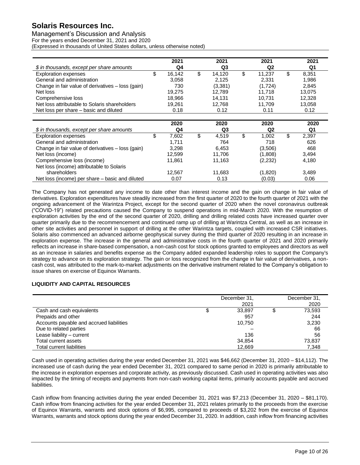Management's Discussion and Analysis

For the years ended December 31, 2021 and 2020

(Expressed in thousands of United States dollars, unless otherwise noted)

|                                                   |    | 2021   |    | 2021    |             | 2021    |    | 2021   |
|---------------------------------------------------|----|--------|----|---------|-------------|---------|----|--------|
| \$ in thousands, except per share amounts         |    | Q4     |    | Q3      |             | Q2      |    | Q1     |
| <b>Exploration expenses</b>                       | \$ | 16,142 | \$ | 14,120  | \$          | 11,237  | \$ | 8,351  |
| General and administration                        |    | 3.058  |    | 2,125   |             | 2,331   |    | 1,986  |
| Change in fair value of derivatives – loss (gain) |    | 730    |    | (3,381) |             | (1,724) |    | 2,845  |
| Net loss                                          |    | 19.275 |    | 12.789  |             | 11.718  |    | 13.075 |
| Comprehensive loss                                |    | 18.966 |    | 14.131  |             | 10.731  |    | 12.328 |
| Net loss attributable to Solaris shareholders     |    | 19.261 |    | 12.768  |             | 11.709  |    | 13,058 |
| Net loss per share – basic and diluted            |    | 0.18   |    | 0.12    |             | 0.11    |    | 0.12   |
|                                                   |    | 2020   |    | 2020    |             | 2020    |    | 2020   |
| \$ in thousands, except per share amounts         |    | Q4     |    | Q3      |             | Q2      |    | Q1     |
| Fuelazation avecanos                              | ሖ  | 7.000  | ́  | 1.510   | $\triangle$ | 1.000   | ₼  | 0.007  |

|                                                   | ----   |             |         | ----        |  |
|---------------------------------------------------|--------|-------------|---------|-------------|--|
| \$ in thousands, except per share amounts         | Q4     | Q3          | Q2      | Q1          |  |
| <b>Exploration expenses</b>                       | 7.602  | \$<br>4.519 | 1.002   | \$<br>2.397 |  |
| General and administration                        | 1.711  | 764         | 718     | 626         |  |
| Change in fair value of derivatives - loss (gain) | 3.298  | 6.453       | (3,506) | 468         |  |
| Net loss (income)                                 | 12,599 | 11.706      | (1,808) | 3.494       |  |
| Comprehensive loss (income)                       | 11.861 | 11.163      | (2,232) | 4.180       |  |
| Net loss (income) attributable to Solaris         |        |             |         |             |  |
| shareholders                                      | 12.567 | 11.683      | (1,820) | 3.489       |  |
| Net loss (income) per share – basic and diluted   | 0.07   | 0.13        | (0.03)  | 0.06        |  |

The Company has not generated any income to date other than interest income and the gain on change in fair value of derivatives. Exploration expenditures have steadily increased from the first quarter of 2020 to the fourth quarter of 2021 with the ongoing advancement of the Warintza Project, except for the second quarter of 2020 when the novel coronavirus outbreak ("COVID-19") related precautions caused the Company to suspend operations in mid-March 2020. With the resumption of exploration activities by the end of the second quarter of 2020, drilling and drilling related costs have increased quarter over quarter primarily due to the recommencement and continued ramp up of drilling at Warintza Central, as well as an increase in other site activities and personnel in support of drilling at the other Warintza targets, coupled with increased CSR initiatives. Solaris also commenced an advanced airborne geophysical survey during the third quarter of 2020 resulting in an increase in exploration expense. The increase in the general and administrative costs in the fourth quarter of 2021 and 2020 primarily reflects an increase in share-based compensation, a non-cash cost for stock options granted to employees and directors as well as an increase in salaries and benefits expense as the Company added expanded leadership roles to support the Company's strategy to advance on its exploration strategy. The gain or loss recognized from the change in fair value of derivatives, a noncash cost, was attributed to the mark-to-market adjustments on the derivative instrument related to the Company's obligation to issue shares on exercise of Equinox Warrants.

# **LIQUIDITY AND CAPITAL RESOURCES**

|                                          | December 31,<br>2021 | December 31,<br>2020 |
|------------------------------------------|----------------------|----------------------|
| Cash and cash equivalents                | 33,897               | 73,593               |
| Prepaids and other                       | 957                  | 244                  |
| Accounts payable and accrued liabilities | 10.750               | 3,230                |
| Due to related parties                   |                      | 66                   |
| Lease liability - current                | 136                  | 56                   |
| Total current assets                     | 34,854               | 73,837               |
| Total current liabilities                | 12.669               | 7.348                |

Cash used in operating activities during the year ended December 31, 2021 was \$46,662 (December 31, 2020 – \$14,112). The increased use of cash during the year ended December 31, 2021 compared to same period in 2020 is primarily attributable to the increase in exploration expenses and corporate activity, as previously discussed. Cash used in operating activities was also impacted by the timing of receipts and payments from non-cash working capital items, primarily accounts payable and accrued liabilities.

Cash inflow from financing activities during the year ended December 31, 2021 was \$7,213 (December 31, 2020 – \$81,170). Cash inflow from financing activities for the year ended December 31, 2021 relates primarily to the proceeds from the exercise of Equinox Warrants, warrants and stock options of \$6,995, compared to proceeds of \$3,202 from the exercise of Equinox Warrants, warrants and stock options during the year ended December 31, 2020. In addition, cash inflow from financing activities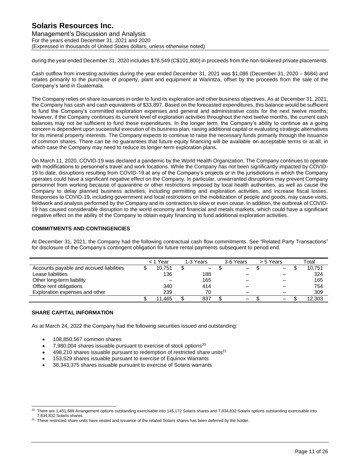# **Solaris Resources Inc.** Management's Discussion and Analysis For the years ended December 31, 2021 and 2020 (Expressed in thousands of United States dollars, unless otherwise noted)

during the year ended December 31, 2020 includes \$78,549 (C\$101,800) in proceeds from the non-brokered private placements.

Cash outflow from investing activities during the year ended December 31, 2021 was \$1,086 (December 31, 2020 – \$684) and relates primarily to the purchase of property, plant and equipment at Warintza, offset by the proceeds from the sale of the Company's land in Guatemala.

The Company relies on share issuances in order to fund its exploration and other business objectives. As at December 31, 2021, the Company has cash and cash equivalents of \$33,897. Based on the forecasted expenditures, this balance would be sufficient to fund the Company's committed exploration expenses and general and administrative costs for the next twelve months; however, if the Company continues its current level of exploration activities throughout the next twelve months, the current cash balances may not be sufficient to fund these expenditures. In the longer term, the Company's ability to continue as a going concern is dependent upon successful execution of its business plan, raising additional capital or evaluating strategic alternatives for its mineral property interests. The Company expects to continue to raise the necessary funds primarily through the issuance of common shares. There can be no guarantees that future equity financing will be available on acceptable terms or at all, in which case the Company may need to reduce its longer-term exploration plans.

On March 11, 2020, COVID-19 was declared a pandemic by the World Health Organization. The Company continues to operate with modifications to personnel's travel and work locations. While the Company has not been significantly impacted by COVID-19 to date, disruptions resulting from COVID-19 at any of the Company's projects or in the jurisdictions in which the Company operates could have a significant negative effect on the Company. In particular, unwarranted disruptions may prevent Company personnel from working because of quarantine or other restrictions imposed by local health authorities, as well as cause the Company to delay planned business activities, including permitting and exploration activities, and increase fiscal losses. Responses to COVID-19, including government and local restrictions on the mobilization of people and goods, may cause visits, fieldwork and analysis performed by the Company and its contractors to slow or even cease. In addition, the outbreak of COVID-19 has caused considerable disruption to the world economy and financial and metals markets, which could have a significant negative effect on the ability of the Company to obtain equity financing to fund additional exploration activities.

## **COMMITMENTS AND CONTINGENCIES**

At December 31, 2021, the Company had the following contractual cash flow commitments. See ["Related Party Transactions"](#page-12-0) for disclosure of the Company's contingent obligation for future rental payments subsequent to period end.

|                                          | < 1 Year |    | 1-3 Years       | 3-5 Years                | > 5 Years | Total  |
|------------------------------------------|----------|----|-----------------|--------------------------|-----------|--------|
| Accounts payable and accrued liabilities | 10.751   | \$ | $\qquad \qquad$ | -                        |           | 10,751 |
| Lease liabilities                        | 136      |    | 188             |                          |           | 324    |
| Other long-term liability                |          |    | 165             |                          |           | 165    |
| Office rent obligations                  | 340      |    | 414             | -                        |           | 754    |
| Exploration expenses and other           | 239      |    | 70              | $\overline{\phantom{0}}$ |           | 309    |
|                                          | 11,465   | æ  | 837             | -                        |           | 12,303 |

## **SHARE CAPITAL INFORMATION**

As at March 24, 2022 the Company had the following securities issued and outstanding:

- 108,850,567 common shares
- 7,980,004 shares issuable pursuant to exercise of stock options<sup>20</sup>
- $498,210$  shares issuable pursuant to redemption of restricted share units<sup>21</sup>
- 153,529 shares issuable pursuant to exercise of Equinox Warrants
- 38,343,375 shares issuable pursuant to exercise of Solaris warrants

<sup>20</sup> There are 1,451,689 Arrangement options outstanding exercisable into 145,172 Solaris shares and 7,834,832 Solaris options outstanding exercisable into 7,834,832 Solaris shares.

<sup>&</sup>lt;sup>21</sup> These restricted share units have vested and issuance of the related Solaris shares has been deferred by the holder.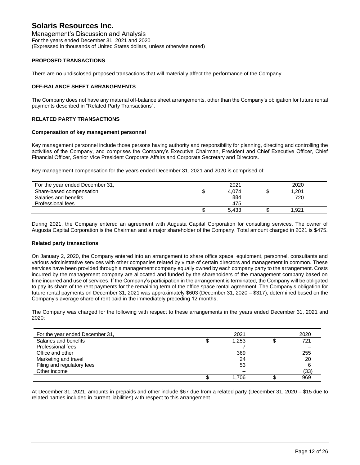## **PROPOSED TRANSACTIONS**

There are no undisclosed proposed transactions that will materially affect the performance of the Company.

#### **OFF-BALANCE SHEET ARRANGEMENTS**

The Company does not have any material off-balance sheet arrangements, other than the Company's obligation for future rental payments described in ["Related Party Transactions"](#page-12-0).

#### <span id="page-12-0"></span>**RELATED PARTY TRANSACTIONS**

#### **Compensation of key management personnel**

Key management personnel include those persons having authority and responsibility for planning, directing and controlling the activities of the Company, and comprises the Company's Executive Chairman, President and Chief Executive Officer, Chief Financial Officer, Senior Vice President Corporate Affairs and Corporate Secretary and Directors.

Key management compensation for the years ended December 31, 2021 and 2020 is comprised of:

| For the year ended December 31, | 2021  | 2020  |  |
|---------------------------------|-------|-------|--|
| Share-based compensation        | 4.074 | 1,201 |  |
| Salaries and benefits           | 884   | 720   |  |
| Professional fees               | 475   | -     |  |
|                                 | 5.433 | .921  |  |

During 2021, the Company entered an agreement with Augusta Capital Corporation for consulting services. The owner of Augusta Capital Corporation is the Chairman and a major shareholder of the Company. Total amount charged in 2021 is \$475.

#### **Related party transactions**

On January 2, 2020, the Company entered into an arrangement to share office space, equipment, personnel, consultants and various administrative services with other companies related by virtue of certain directors and management in common. These services have been provided through a management company equally owned by each company party to the arrangement. Costs incurred by the management company are allocated and funded by the shareholders of the management company based on time incurred and use of services. If the Company's participation in the arrangement is terminated, the Company will be obligated to pay its share of the rent payments for the remaining term of the office space rental agreement. The Company's obligation for future rental payments on December 31, 2021 was approximately \$603 (December 31, 2020 – \$317), determined based on the Company's average share of rent paid in the immediately preceding 12 months.

The Company was charged for the following with respect to these arrangements in the years ended December 31, 2021 and 2020:

| For the year ended December 31, | 2021  | 2020 |
|---------------------------------|-------|------|
| Salaries and benefits           | 1,253 | 721  |
| Professional fees               |       |      |
| Office and other                | 369   | 255  |
| Marketing and travel            | 24    | 20   |
| Filing and regulatory fees      | 53    |      |
| Other income                    |       | (33) |
|                                 | 1.706 | 969  |

At December 31, 2021, amounts in prepaids and other include \$67 due from a related party (December 31, 2020 – \$15 due to related parties included in current liabilities) with respect to this arrangement.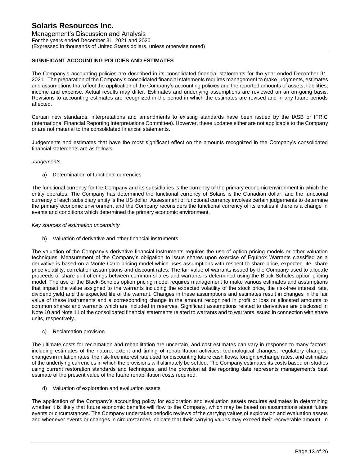## **SIGNIFICANT ACCOUNTING POLICIES AND ESTIMATES**

The Company's accounting policies are described in its consolidated financial statements for the year ended December 31, 2021. The preparation of the Company's consolidated financial statements requires management to make judgments, estimates and assumptions that affect the application of the Company's accounting policies and the reported amounts of assets, liabilities, income and expense. Actual results may differ. Estimates and underlying assumptions are reviewed on an on-going basis. Revisions to accounting estimates are recognized in the period in which the estimates are revised and in any future periods affected.

Certain new standards, interpretations and amendments to existing standards have been issued by the IASB or IFRIC (International Financial Reporting Interpretations Committee). However, these updates either are not applicable to the Company or are not material to the consolidated financial statements.

Judgements and estimates that have the most significant effect on the amounts recognized in the Company's consolidated financial statements are as follows:

## *Judgements*

#### a) Determination of functional currencies

The functional currency for the Company and its subsidiaries is the currency of the primary economic environment in which the entity operates. The Company has determined the functional currency of Solaris is the Canadian dollar, and the functional currency of each subsidiary entity is the US dollar. Assessment of functional currency involves certain judgements to determine the primary economic environment and the Company reconsiders the functional currency of its entities if there is a change in events and conditions which determined the primary economic environment.

#### *Key sources of estimation uncertainty*

b) Valuation of derivative and other financial instruments

The valuation of the Company's derivative financial instruments requires the use of option pricing models or other valuation techniques. Measurement of the Company's obligation to issue shares upon exercise of Equinox Warrants classified as a derivative is based on a Monte Carlo pricing model which uses assumptions with respect to share price, expected life, share price volatility, correlation assumptions and discount rates. The fair value of warrants issued by the Company used to allocate proceeds of share unit offerings between common shares and warrants is determined using the Black-Scholes option pricing model. The use of the Black-Scholes option pricing model requires management to make various estimates and assumptions that impact the value assigned to the warrants including the expected volatility of the stock price, the risk-free interest rate, dividend yield and the expected life of the warrant. Changes in these assumptions and estimates result in changes in the fair value of these instruments and a corresponding change in the amount recognized in profit or loss or allocated amounts to common shares and warrants which are included in reserves. Significant assumptions related to derivatives are disclosed in Note 10 and Note 11 of the consolidated financial statements related to warrants and to warrants issued in connection with share units, respectively.

#### c) Reclamation provision

The ultimate costs for reclamation and rehabilitation are uncertain, and cost estimates can vary in response to many factors, including estimates of the nature, extent and timing of rehabilitation activities, technological changes, regulatory changes, changes in inflation rates, the risk-free interest rate used for discounting future cash flows, foreign exchange rates, and estimates of the underlying currencies in which the provisions will ultimately be settled. The Company estimates its costs based on studies using current restoration standards and techniques, and the provision at the reporting date represents management's best estimate of the present value of the future rehabilitation costs required.

d) Valuation of exploration and evaluation assets

The application of the Company's accounting policy for exploration and evaluation assets requires estimates in determining whether it is likely that future economic benefits will flow to the Company, which may be based on assumptions about future events or circumstances. The Company undertakes periodic reviews of the carrying values of exploration and evaluation assets and whenever events or changes in circumstances indicate that their carrying values may exceed their recoverable amount. In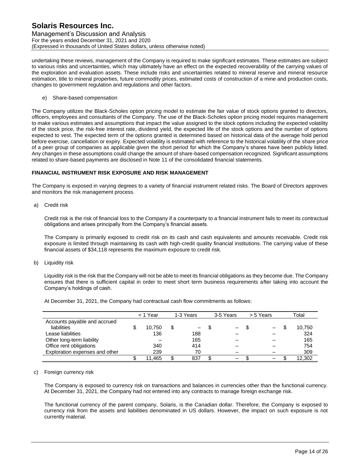Management's Discussion and Analysis For the years ended December 31, 2021 and 2020 (Expressed in thousands of United States dollars, unless otherwise noted)

undertaking these reviews, management of the Company is required to make significant estimates. These estimates are subject to various risks and uncertainties, which may ultimately have an effect on the expected recoverability of the carrying values of the exploration and evaluation assets. These include risks and uncertainties related to mineral reserve and mineral resource estimation, title to mineral properties, future commodity prices, estimated costs of construction of a mine and production costs, changes to government regulation and regulations and other factors.

e) Share-based compensation

The Company utilizes the Black-Scholes option pricing model to estimate the fair value of stock options granted to directors, officers, employees and consultants of the Company. The use of the Black-Scholes option pricing model requires management to make various estimates and assumptions that impact the value assigned to the stock options including the expected volatility of the stock price, the risk-free interest rate, dividend yield, the expected life of the stock options and the number of options expected to vest. The expected term of the options granted is determined based on historical data of the average hold period before exercise, cancellation or expiry. Expected volatility is estimated with reference to the historical volatility of the share price of a peer group of companies as applicable given the short period for which the Company's shares have been publicly listed. Any changes in these assumptions could change the amount of share-based compensation recognized. Significant assumptions related to share-based payments are disclosed in Note 11 of the consolidated financial statements.

## **FINANCIAL INSTRUMENT RISK EXPOSURE AND RISK MANAGEMENT**

The Company is exposed in varying degrees to a variety of financial instrument related risks. The Board of Directors approves and monitors the risk management process.

a) Credit risk

Credit risk is the risk of financial loss to the Company if a counterparty to a financial instrument fails to meet its contractual obligations and arises principally from the Company's financial assets.

The Company is primarily exposed to credit risk on its cash and cash equivalents and amounts receivable. Credit risk exposure is limited through maintaining its cash with high-credit quality financial institutions. The carrying value of these financial assets of \$34,118 represents the maximum exposure to credit risk.

b) Liquidity risk

Liquidity risk is the risk that the Company will not be able to meet its financial obligations as they become due. The Company ensures that there is sufficient capital in order to meet short term business requirements after taking into account the Company's holdings of cash.

|                                | < 1 Year |   | 1-3 Years | 3-5 Years | > 5 Years | Total  |
|--------------------------------|----------|---|-----------|-----------|-----------|--------|
| Accounts payable and accrued   |          |   |           |           |           |        |
| liabilities                    | 10.750   | S | —         | -         |           | 10,750 |
| Lease liabilities              | 136      |   | 188       |           |           | 324    |
| Other long-term liability      |          |   | 165       |           |           | 165    |
| Office rent obligations        | 340      |   | 414       |           |           | 754    |
| Exploration expenses and other | 239      |   | 70        |           |           | 309    |
|                                | 11,465   |   | 837       |           |           | 12.302 |

At December 31, 2021, the Company had contractual cash flow commitments as follows:

#### c) Foreign currency risk

The Company is exposed to currency risk on transactions and balances in currencies other than the functional currency. At December 31, 2021, the Company had not entered into any contracts to manage foreign exchange risk.

The functional currency of the parent company, Solaris, is the Canadian dollar. Therefore, the Company is exposed to currency risk from the assets and liabilities denominated in US dollars. However, the impact on such exposure is not currently material.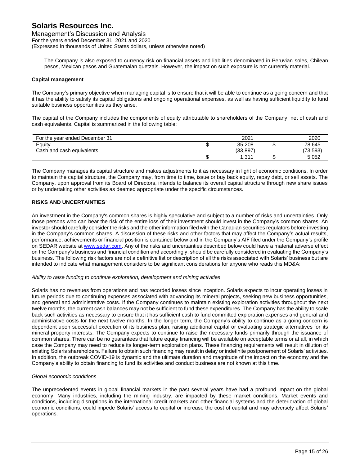Management's Discussion and Analysis For the years ended December 31, 2021 and 2020 (Expressed in thousands of United States dollars, unless otherwise noted)

The Company is also exposed to currency risk on financial assets and liabilities denominated in Peruvian soles, Chilean pesos, Mexican pesos and Guatemalan quetzals. However, the impact on such exposure is not currently material.

### **Capital management**

The Company's primary objective when managing capital is to ensure that it will be able to continue as a going concern and that it has the ability to satisfy its capital obligations and ongoing operational expenses, as well as having sufficient liquidity to fund suitable business opportunities as they arise.

The capital of the Company includes the components of equity attributable to shareholders of the Company, net of cash and cash equivalents. Capital is summarized in the following table:

| For the year ended December 31. | 2021          | 2020     |
|---------------------------------|---------------|----------|
| Equity                          | 35.208        | 78.645   |
| Cash and cash equivalents       | (33.897)      | (73.593) |
|                                 | 211<br>ا ا ت. | 5.052    |

The Company manages its capital structure and makes adjustments to it as necessary in light of economic conditions. In order to maintain the capital structure, the Company may, from time to time, issue or buy back equity, repay debt, or sell assets. The Company, upon approval from its Board of Directors, intends to balance its overall capital structure through new share issues or by undertaking other activities as deemed appropriate under the specific circumstances.

## **RISKS AND UNCERTAINTIES**

An investment in the Company's common shares is highly speculative and subject to a number of risks and uncertainties. Only those persons who can bear the risk of the entire loss of their investment should invest in the Company's common shares. An investor should carefully consider the risks and the other information filed with the Canadian securities regulators before investing in the Company's common shares. A discussion of these risks and other factors that may affect the Company's actual results, performance, achievements or financial position is contained below and in the Company's AIF filed under the Company's profile on SEDAR website at [www.sedar.com.](http://www.sedar.com/) Any of the risks and uncertainties described below could have a material adverse effect on the Company's business and financial condition and accordingly, should be carefully considered in evaluating the Company's business. The following risk factors are not a definitive list or description of all the risks associated with Solaris' business but are intended to indicate what management considers to be significant considerations for anyone who reads this MD&A:

#### *Ability to raise funding to continue exploration, development and mining activities*

Solaris has no revenues from operations and has recorded losses since inception. Solaris expects to incur operating losses in future periods due to continuing expenses associated with advancing its mineral projects, seeking new business opportunities, and general and administrative costs. If the Company continues to maintain existing exploration activities throughout the next twelve months, the current cash balances may not be sufficient to fund these expenditures. The Company has the ability to scale back such activities as necessary to ensure that it has sufficient cash to fund committed exploration expenses and general and administrative costs for the next twelve months. In the longer term, the Company's ability to continue as a going concern is dependent upon successful execution of its business plan, raising additional capital or evaluating strategic alternatives for its mineral property interests. The Company expects to continue to raise the necessary funds primarily through the issuance of common shares. There can be no guarantees that future equity financing will be available on acceptable terms or at all, in which case the Company may need to reduce its longer-term exploration plans. These financing requirements will result in dilution of existing Solaris shareholders. Failure to obtain such financing may result in delay or indefinite postponement of Solaris' activities. In addition, the outbreak COVID-19 is dynamic and the ultimate duration and magnitude of the impact on the economy and the Company's ability to obtain financing to fund its activities and conduct business are not known at this time.

## *Global economic conditions*

The unprecedented events in global financial markets in the past several years have had a profound impact on the global economy. Many industries, including the mining industry, are impacted by these market conditions. Market events and conditions, including disruptions in the international credit markets and other financial systems and the deterioration of global economic conditions, could impede Solaris' access to capital or increase the cost of capital and may adversely affect Solaris' operations.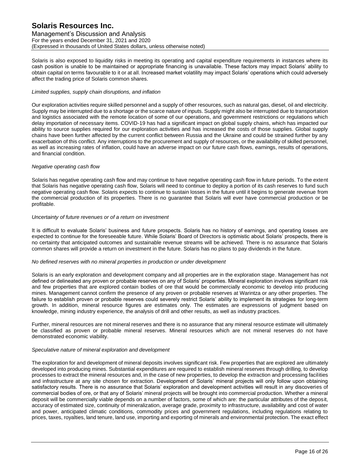Management's Discussion and Analysis For the years ended December 31, 2021 and 2020 (Expressed in thousands of United States dollars, unless otherwise noted)

Solaris is also exposed to liquidity risks in meeting its operating and capital expenditure requirements in instances where its cash position is unable to be maintained or appropriate financing is unavailable. These factors may impact Solaris' ability to obtain capital on terms favourable to it or at all. Increased market volatility may impact Solaris' operations which could adversely affect the trading price of Solaris common shares.

#### *Limited supplies, supply chain disruptions, and inflation*

Our exploration activities require skilled personnel and a supply of other resources, such as natural gas, diesel, oil and electricity. Supply may be interrupted due to a shortage or the scarce nature of inputs. Supply might also be interrupted due to transportation and logistics associated with the remote location of some of our operations, and government restrictions or regulations which delay importation of necessary items. COVID-19 has had a significant impact on global supply chains, which has impacted our ability to source supplies required for our exploration activities and has increased the costs of those supplies. Global supply chains have been further affected by the current conflict between Russia and the Ukraine and could be strained further by any exacerbation of this conflict. Any interruptions to the procurement and supply of resources, or the availability of skilled personnel, as well as increasing rates of inflation, could have an adverse impact on our future cash flows, earnings, results of operations, and financial condition.

#### *Negative operating cash flow*

Solaris has negative operating cash flow and may continue to have negative operating cash flow in future periods. To the extent that Solaris has negative operating cash flow, Solaris will need to continue to deploy a portion of its cash reserves to fund such negative operating cash flow. Solaris expects to continue to sustain losses in the future until it begins to generate revenue from the commercial production of its properties. There is no guarantee that Solaris will ever have commercial production or be profitable.

#### *Uncertainty of future revenues or of a return on investment*

It is difficult to evaluate Solaris' business and future prospects. Solaris has no history of earnings, and operating losses are expected to continue for the foreseeable future. While Solaris' Board of Directors is optimistic about Solaris' prospects, there is no certainty that anticipated outcomes and sustainable revenue streams will be achieved. There is no assurance that Solaris common shares will provide a return on investment in the future. Solaris has no plans to pay dividends in the future.

#### *No defined reserves with no mineral properties in production or under development*

Solaris is an early exploration and development company and all properties are in the exploration stage. Management has not defined or delineated any proven or probable reserves on any of Solaris' properties. Mineral exploration involves significant risk and few properties that are explored contain bodies of ore that would be commercially economic to develop into producing mines. Management cannot confirm the presence of any proven or probable reserves at Warintza or any other properties. The failure to establish proven or probable reserves could severely restrict Solaris' ability to implement its strategies for long-term growth. In addition, mineral resource figures are estimates only. The estimates are expressions of judgment based on knowledge, mining industry experience, the analysis of drill and other results, as well as industry practices.

Further, mineral resources are not mineral reserves and there is no assurance that any mineral resource estimate will ultimately be classified as proven or probable mineral reserves. Mineral resources which are not mineral reserves do not have demonstrated economic viability.

#### *Speculative nature of mineral exploration and development*

The exploration for and development of mineral deposits involves significant risk. Few properties that are explored are ultimately developed into producing mines. Substantial expenditures are required to establish mineral reserves through drilling, to develop processes to extract the mineral resources and, in the case of new properties, to develop the extraction and processing facilities and infrastructure at any site chosen for extraction. Development of Solaris' mineral projects will only follow upon obtaining satisfactory results. There is no assurance that Solaris' exploration and development activities will result in any discoveries of commercial bodies of ore, or that any of Solaris' mineral projects will be brought into commercial production. Whether a mineral deposit will be commercially viable depends on a number of factors, some of which are: the particular attributes of the deposit, accuracy of estimated size, continuity of mineralization, average grade, proximity to infrastructure, availability and cost of water and power, anticipated climatic conditions, commodity prices and government regulations, including regulations relating to prices, taxes, royalties, land tenure, land use, importing and exporting of minerals and environmental protection. The exact effect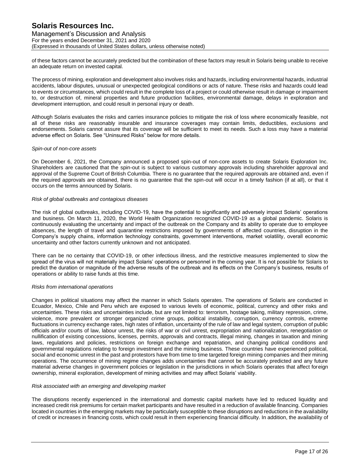Management's Discussion and Analysis For the years ended December 31, 2021 and 2020 (Expressed in thousands of United States dollars, unless otherwise noted)

of these factors cannot be accurately predicted but the combination of these factors may result in Solaris being unable to receive an adequate return on invested capital.

The process of mining, exploration and development also involves risks and hazards, including environmental hazards, industrial accidents, labour disputes, unusual or unexpected geological conditions or acts of nature. These risks and hazards could lead to events or circumstances, which could result in the complete loss of a project or could otherwise result in damage or impairment to, or destruction of, mineral properties and future production facilities, environmental damage, delays in exploration and development interruption, and could result in personal injury or death.

Although Solaris evaluates the risks and carries insurance policies to mitigate the risk of loss where economically feasible, not all of these risks are reasonably insurable and insurance coverages may contain limits, deductibles, exclusions and endorsements. Solaris cannot assure that its coverage will be sufficient to meet its needs. Such a loss may have a material adverse effect on Solaris. See "Uninsured Risks" below for more details.

#### *Spin-out of non-core assets*

On December 6, 2021, the Company announced a proposed spin-out of non-core assets to create Solaris Exploration Inc. Shareholders are cautioned that the spin-out is subject to various customary approvals including shareholder approval and approval of the Supreme Court of British Columbia. There is no guarantee that the required approvals are obtained and, even if the required approvals are obtained, there is no guarantee that the spin-out will occur in a timely fashion (if at all), or that it occurs on the terms announced by Solaris.

#### *Risk of global outbreaks and contagious diseases*

The risk of global outbreaks, including COVID-19, have the potential to significantly and adversely impact Solaris' operations and business. On March 11, 2020, the World Health Organization recognized COVID-19 as a global pandemic. Solaris is continuously evaluating the uncertainty and impact of the outbreak on the Company and its ability to operate due to employee absences, the length of travel and quarantine restrictions imposed by governments of affected countries, disruption in the Company's supply chains, information technology constraints, government interventions, market volatility, overall economic uncertainty and other factors currently unknown and not anticipated.

There can be no certainty that COVID-19, or other infectious illness, and the restrictive measures implemented to slow the spread of the virus will not materially impact Solaris' operations or personnel in the coming year. It is not possible for Solaris to predict the duration or magnitude of the adverse results of the outbreak and its effects on the Company's business, results of operations or ability to raise funds at this time.

## *Risks from international operations*

Changes in political situations may affect the manner in which Solaris operates. The operations of Solaris are conducted in Ecuador, Mexico, Chile and Peru which are exposed to various levels of economic, political, currency and other risks and uncertainties. These risks and uncertainties include, but are not limited to: terrorism, hostage taking, military repression, crime, violence, more prevalent or stronger organized crime groups, political instability, corruption, currency controls, extreme fluctuations in currency exchange rates, high rates of inflation, uncertainty of the rule of law and legal system, corruption of public officials and/or courts of law, labour unrest, the risks of war or civil unrest, expropriation and nationalization, renegotiation or nullification of existing concessions, licenses, permits, approvals and contracts, illegal mining, changes in taxation and mining laws, regulations and policies, restrictions on foreign exchange and repatriation, and changing political conditions and governmental regulations relating to foreign investment and the mining business. These countries have experienced political, social and economic unrest in the past and protestors have from time to time targeted foreign mining companies and their mining operations. The occurrence of mining regime changes adds uncertainties that cannot be accurately predicted and any future material adverse changes in government policies or legislation in the jurisdictions in which Solaris operates that affect foreign ownership, mineral exploration, development of mining activities and may affect Solaris' viability.

## *Risk associated with an emerging and developing market*

The disruptions recently experienced in the international and domestic capital markets have led to reduced liquidity and increased credit risk premiums for certain market participants and have resulted in a reduction of available financing. Companies located in countries in the emerging markets may be particularly susceptible to these disruptions and reductions in the availability of credit or increases in financing costs, which could result in them experiencing financial difficulty. In addition, the availability of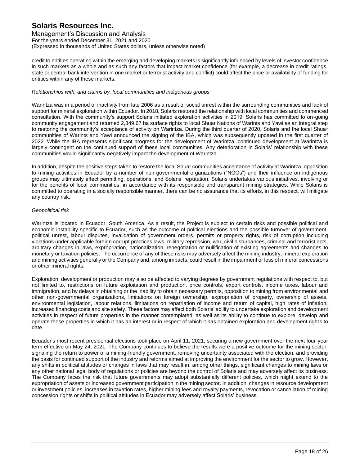Management's Discussion and Analysis For the years ended December 31, 2021 and 2020 (Expressed in thousands of United States dollars, unless otherwise noted)

credit to entities operating within the emerging and developing markets is significantly influenced by levels of investor confidence in such markets as a whole and as such any factors that impact market confidence (for example, a decrease in credit ratings, state or central bank intervention in one market or terrorist activity and conflict) could affect the price or availability of funding for entities within any of these markets.

#### *Relationships with, and claims by, local communities and indigenous groups*

Warintza was in a period of inactivity from late 2006 as a result of social unrest within the surrounding communities and lack of support for mineral exploration within Ecuador. In 2018, Solaris restored the relationship with local communities and commenced consultation. With the community's support Solaris initiated exploration activities in 2019. Solaris has committed to on-going community engagement and returned 2,349.67 ha surface rights to local Shuar Nations of Warints and Yawi as an integral step to restoring the community's acceptance of activity on Warintza. During the third quarter of 2020, Solaris and the local Shuar communities of Warints and Yawi announced the signing of the IBA, which was subsequently updated in the first quarter of 2022. While the IBA represents significant progress for the development of Warintza, continued development at Warintza is largely contingent on the continued support of these local communities. Any deterioration in Solaris' relationship with these communities would significantly negatively impact the development of Warintza.

In addition, despite the positive steps taken to restore the local Shuar communities acceptance of activity at Warintza, opposition to mining activities in Ecuador by a number of non-governmental organizations ("NGOs") and their influence on indigenous groups may ultimately affect permitting, operations, and Solaris' reputation. Solaris undertakes various initiatives, involving or for the benefits of local communities, in accordance with its responsible and transparent mining strategies. While Solaris is committed to operating in a socially responsible manner, there can be no assurance that its efforts, in this respect, will mitigate any country risk.

## *Geopolitical risk*

Warintza is located in Ecuador, South America. As a result, the Project is subject to certain risks and possible political and economic instability specific to Ecuador, such as the outcome of political elections and the possible turnover of government, political unrest, labour disputes, invalidation of government orders, permits or property rights, risk of corruption including violations under applicable foreign corrupt practices laws, military repression, war, civil disturbances, criminal and terrorist acts, arbitrary changes in laws, expropriation, nationalization, renegotiation or nullification of existing agreements and changes to monetary or taxation policies. The occurrence of any of these risks may adversely affect the mining industry, mineral exploration and mining activities generally or the Company and, among impacts, could result in the impairment or loss of mineral concessions or other mineral rights.

Exploration, development or production may also be affected to varying degrees by government regulations with respect to, but not limited to, restrictions on future exploitation and production, price controls, export controls, income taxes, labour and immigration, and by delays in obtaining or the inability to obtain necessary permits, opposition to mining from environmental and other non-governmental organizations, limitations on foreign ownership, expropriation of property, ownership of assets, environmental legislation, labour relations, limitations on repatriation of income and return of capital, high rates of inflation, increased financing costs and site safety. These factors may affect both Solaris' ability to undertake exploration and development activities in respect of future properties in the manner contemplated, as well as its ability to continue to explore, develop and operate those properties in which it has an interest or in respect of which it has obtained exploration and development rights to date.

Ecuador's most recent presidential elections took place on April 11, 2021, securing a new government over the next four-year term effective on May 24, 2021. The Company continues to believe the results were a positive outcome for the mining sector, signaling the return to power of a mining-friendly government, removing uncertainty associated with the election, and providing the basis for continued support of the industry and reforms aimed at improving the environment for the sector to grow. However, any shifts in political attitudes or changes in laws that may result in, among other things, significant changes to mining laws or any other national legal body of regulations or policies are beyond the control of Solaris and may adversely affect its business. The Company faces the risk that future governments may adopt substantially different policies, which might extend to the expropriation of assets or increased government participation in the mining sector. In addition, changes in resource development or investment policies, increases in taxation rates, higher mining fees and royalty payments, revocation or cancellation of mining concession rights or shifts in political attitudes in Ecuador may adversely affect Solaris' business.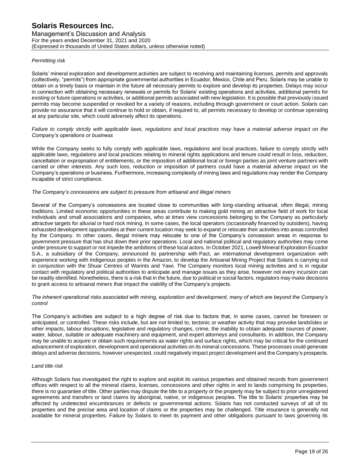Management's Discussion and Analysis For the years ended December 31, 2021 and 2020 (Expressed in thousands of United States dollars, unless otherwise noted)

## *Permitting risk*

Solaris' mineral exploration and development activities are subject to receiving and maintaining licenses, permits and approvals (collectively, "permits") from appropriate governmental authorities in Ecuador, Mexico, Chile and Peru. Solaris may be unable to obtain on a timely basis or maintain in the future all necessary permits to explore and develop its properties. Delays may occur in connection with obtaining necessary renewals or permits for Solaris' existing operations and activities, additional permits for existing or future operations or activities, or additional permits associated with new legislation. It is possible that previously issued permits may become suspended or revoked for a variety of reasons, including through government or court action. Solaris can provide no assurance that it will continue to hold or obtain, if required to, all permits necessary to develop or continue operating at any particular site, which could adversely affect its operations.

*Failure to comply strictly with applicable laws, regulations and local practices may have a material adverse impact on the Company's operations or business*

While the Company seeks to fully comply with applicable laws, regulations and local practices, failure to comply strictly with applicable laws, regulations and local practices relating to mineral rights applications and tenure could result in loss, reduction, cancellation or expropriation of entitlements, or the imposition of additional local or foreign parties as joint venture partners with carried or other interests. Any such loss, reduction or imposition of partners could have a material adverse impact on the Company's operations or business. Furthermore, increasing complexity of mining laws and regulations may render the Company incapable of strict compliance.

## *The Company's concessions are subject to pressure from artisanal and illegal miners*

Several of the Company's concessions are located close to communities with long-standing artisanal, often illegal, mining traditions. Limited economic opportunities in these areas contribute to making gold mining an attractive field of work for local individuals and small associations and companies, who at times view concessions belonging to the Company as particularly attractive targets for alluvial or hard rock mining. In some cases, the local operators (occasionally financed by outsiders), having exhausted development opportunities at their current location may seek to expand or relocate their activities into areas controlled by the Company. In other cases, illegal miners may relocate to one of the Company's concession areas in response to government pressure that has shut down their prior operations. Local and national political and regulatory authorities may come under pressure to support or not impede the ambitions of these local actors. In October 2021, Lowell Mineral Exploration Ecuador S.A., a subsidiary of the Company, announced its partnership with Pact, an international development organization with experience working with Indigenous peoples in the Amazon, to develop the Artisanal Mining Project that Solaris is carrying out in conjunction with the Shuar Centres of Warints and Yawi. The Company monitors local mining activities and is in regular contact with regulatory and political authorities to anticipate and manage issues as they arise, however not every incursion can be readily identified. Nonetheless, there is a risk that in the future, due to political or social factors, regulators may make decisions to grant access to artisanal miners that impact the viability of the Company's projects.

#### *The inherent operational risks associated with mining, exploration and development, many of which are beyond the Company's control*

The Company's activities are subject to a high degree of risk due to factors that, in some cases, cannot be foreseen or anticipated, or controlled. These risks include, but are not limited to, tectonic or weather activity that may provoke landslides or other impacts, labour disruptions, legislative and regulatory changes, crime, the inability to obtain adequate sources of power, water, labour, suitable or adequate machinery and equipment, and expert attorneys and consultants. In addition, the Company may be unable to acquire or obtain such requirements as water rights and surface rights, which may be critical for the continued advancement of exploration, development and operational activities on its mineral concessions. These processes could generate delays and adverse decisions, however unexpected, could negatively impact project development and the Company's prospects.

## *Land title risk*

Although Solaris has investigated the right to explore and exploit its various properties and obtained records from government offices with respect to all the mineral claims, licenses, concessions and other rights in and to lands comprising its properties, there is no guarantee of title. Other parties may dispute the title to a property or the property may be subject to prior unregistered agreements and transfers or land claims by aboriginal, native, or indigenous peoples. The title to Solaris' properties may be affected by undetected encumbrances or defects or governmental actions. Solaris has not conducted surveys of all of its properties and the precise area and location of claims or the properties may be challenged. Title insurance is generally not available for mineral properties. Failure by Solaris to meet its payment and other obligations pursuant to laws governing its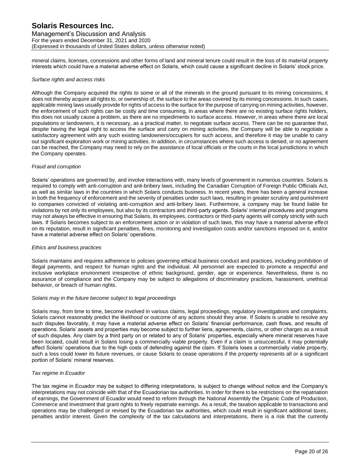Management's Discussion and Analysis For the years ended December 31, 2021 and 2020 (Expressed in thousands of United States dollars, unless otherwise noted)

mineral claims, licenses, concessions and other forms of land and mineral tenure could result in the loss of its material property interests which could have a material adverse effect on Solaris, which could cause a significant decline in Solaris' stock price.

#### *Surface rights and access risks*

Although the Company acquired the rights to some or all of the minerals in the ground pursuant to its mining concessions, it does not thereby acquire all rights to, or ownership of, the surface to the areas covered by its mining concessions. In such cases, applicable mining laws usually provide for rights of access to the surface for the purpose of carrying on mining activities, however, the enforcement of such rights can be costly and time consuming. In areas where there are no existing surface rights holders, this does not usually cause a problem, as there are no impediments to surface access. However, in areas where there are local populations or landowners, it is necessary, as a practical matter, to negotiate surface access. There can be no guarantee that, despite having the legal right to access the surface and carry on mining activities, the Company will be able to negotiate a satisfactory agreement with any such existing landowners/occupiers for such access, and therefore it may be unable to carry out significant exploration work or mining activities. In addition, in circumstances where such access is denied, or no agreement can be reached, the Company may need to rely on the assistance of local officials or the courts in the local jurisdictions in which the Company operates.

#### *Fraud and corruption*

Solaris' operations are governed by, and involve interactions with, many levels of government in numerous countries. Solaris is required to comply with anti-corruption and anti-bribery laws, including the Canadian Corruption of Foreign Public Officials Act, as well as similar laws in the countries in which Solaris conducts business. In recent years, there has been a general increase in both the frequency of enforcement and the severity of penalties under such laws, resulting in greater scrutiny and punishment to companies convicted of violating anti-corruption and anti-bribery laws. Furthermore, a company may be found liable for violations by not only its employees, but also by its contractors and third-party agents. Solaris' internal procedures and programs may not always be effective in ensuring that Solaris, its employees, contractors or third-party agents will comply strictly with such laws. If Solaris becomes subject to an enforcement action or in violation of such laws, this may have a material adverse effect on its reputation, result in significant penalties, fines, monitoring and investigation costs and/or sanctions imposed on it, and/or have a material adverse effect on Solaris' operations.

#### *Ethics and business practices*

Solaris maintains and requires adherence to policies governing ethical business conduct and practices, including prohibition of illegal payments, and respect for human rights and the individual. All personnel are expected to promote a respectful and inclusive workplace environment irrespective of ethnic background, gender, age or experience. Nevertheless, there is no assurance of compliance and the Company may be subject to allegations of discriminatory practices, harassment, unethical behavior, or breach of human rights.

#### *Solaris may in the future become subject to legal proceedings*

Solaris may, from time to time, become involved in various claims, legal proceedings, regulatory investigations and complaints. Solaris cannot reasonably predict the likelihood or outcome of any actions should they arise. If Solaris is unable to resolve any such disputes favorably, it may have a material adverse effect on Solaris' financial performance, cash flows, and results of operations. Solaris' assets and properties may become subject to further liens, agreements, claims, or other charges as a result of such disputes. Any claim by a third party on or related to any of Solaris' properties, especially where mineral reserves have been located, could result in Solaris losing a commercially viable property. Even if a claim is unsuccessful, it may potentially affect Solaris' operations due to the high costs of defending against the claim. If Solaris loses a commercially viable property, such a loss could lower its future revenues, or cause Solaris to cease operations if the property represents all or a significant portion of Solaris' mineral reserves.

#### *Tax regime in Ecuador*

The tax regime in Ecuador may be subject to differing interpretations, is subject to change without notice and the Company's interpretations may not coincide with that of the Ecuadorian tax authorities. In order for there to be restrictions on the repatriation of earnings, the Government of Ecuador would need to reform through the National Assembly the Organic Code of Production, Commerce and Investment that grant rights to freely repatriate earnings. As a result, the taxation applicable to transactions and operations may be challenged or revised by the Ecuadorian tax authorities, which could result in significant additional taxes, penalties and/or interest. Given the complexity of the tax calculations and interpretations, there is a risk that the currently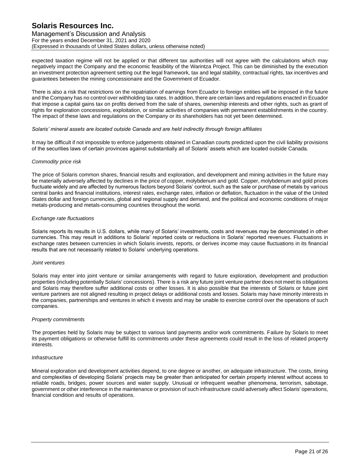Management's Discussion and Analysis For the years ended December 31, 2021 and 2020 (Expressed in thousands of United States dollars, unless otherwise noted)

expected taxation regime will not be applied or that different tax authorities will not agree with the calculations which may negatively impact the Company and the economic feasibility of the Warintza Project. This can be diminished by the execution an investment protection agreement setting out the legal framework, tax and legal stability, contractual rights, tax incentives and guarantees between the mining concessionaire and the Government of Ecuador.

There is also a risk that restrictions on the repatriation of earnings from Ecuador to foreign entities will be imposed in the future and the Company has no control over withholding tax rates. In addition, there are certain laws and regulations enacted in Ecuador that impose a capital gains tax on profits derived from the sale of shares, ownership interests and other rights, such as grant of rights for exploration concessions, exploitation, or similar activities of companies with permanent establishments in the country. The impact of these laws and regulations on the Company or its shareholders has not yet been determined.

#### *Solaris' mineral assets are located outside Canada and are held indirectly through foreign affiliates*

It may be difficult if not impossible to enforce judgements obtained in Canadian courts predicted upon the civil liability provisions of the securities laws of certain provinces against substantially all of Solaris' assets which are located outside Canada.

#### *Commodity price risk*

The price of Solaris common shares, financial results and exploration, and development and mining activities in the future may be materially adversely affected by declines in the price of copper, molybdenum and gold. Copper, molybdenum and gold prices fluctuate widely and are affected by numerous factors beyond Solaris' control, such as the sale or purchase of metals by various central banks and financial institutions, interest rates, exchange rates, inflation or deflation, fluctuation in the value of the United States dollar and foreign currencies, global and regional supply and demand, and the political and economic conditions of major metals-producing and metals-consuming countries throughout the world.

#### *Exchange rate fluctuations*

Solaris reports its results in U.S. dollars, while many of Solaris' investments, costs and revenues may be denominated in other currencies. This may result in additions to Solaris' reported costs or reductions in Solaris' reported revenues. Fluctuations in exchange rates between currencies in which Solaris invests, reports, or derives income may cause fluctuations in its financial results that are not necessarily related to Solaris' underlying operations.

#### *Joint ventures*

Solaris may enter into joint venture or similar arrangements with regard to future exploration, development and production properties (including potentially Solaris' concessions). There is a risk any future joint venture partner does not meet its obligations and Solaris may therefore suffer additional costs or other losses. It is also possible that the interests of Solaris or future joint venture partners are not aligned resulting in project delays or additional costs and losses. Solaris may have minority interests in the companies, partnerships and ventures in which it invests and may be unable to exercise control over the operations of such companies.

#### *Property commitments*

The properties held by Solaris may be subject to various land payments and/or work commitments. Failure by Solaris to meet its payment obligations or otherwise fulfill its commitments under these agreements could result in the loss of related property interests.

#### *Infrastructure*

Mineral exploration and development activities depend, to one degree or another, on adequate infrastructure. The costs, timing and complexities of developing Solaris' projects may be greater than anticipated for certain property interest without access to reliable roads, bridges, power sources and water supply. Unusual or infrequent weather phenomena, terrorism, sabotage, government or other interference in the maintenance or provision of such infrastructure could adversely affect Solaris' operations, financial condition and results of operations.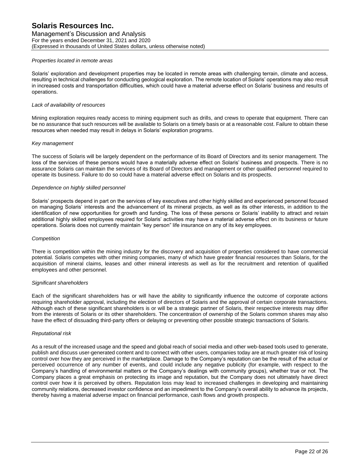Management's Discussion and Analysis For the years ended December 31, 2021 and 2020 (Expressed in thousands of United States dollars, unless otherwise noted)

### *Properties located in remote areas*

Solaris' exploration and development properties may be located in remote areas with challenging terrain, climate and access, resulting in technical challenges for conducting geological exploration. The remote location of Solaris' operations may also result in increased costs and transportation difficulties, which could have a material adverse effect on Solaris' business and results of operations.

### *Lack of availability of resources*

Mining exploration requires ready access to mining equipment such as drills, and crews to operate that equipment. There can be no assurance that such resources will be available to Solaris on a timely basis or at a reasonable cost. Failure to obtain these resources when needed may result in delays in Solaris' exploration programs.

## *Key management*

The success of Solaris will be largely dependent on the performance of its Board of Directors and its senior management. The loss of the services of these persons would have a materially adverse effect on Solaris' business and prospects. There is no assurance Solaris can maintain the services of its Board of Directors and management or other qualified personnel required to operate its business. Failure to do so could have a material adverse effect on Solaris and its prospects.

#### *Dependence on highly skilled personnel*

Solaris' prospects depend in part on the services of key executives and other highly skilled and experienced personnel focused on managing Solaris' interests and the advancement of its mineral projects, as well as its other interests, in addition to the identification of new opportunities for growth and funding. The loss of these persons or Solaris' inability to attract and retain additional highly skilled employees required for Solaris' activities may have a material adverse effect on its business or future operations. Solaris does not currently maintain "key person" life insurance on any of its key employees.

#### *Competition*

There is competition within the mining industry for the discovery and acquisition of properties considered to have commercial potential. Solaris competes with other mining companies, many of which have greater financial resources than Solaris, for the acquisition of mineral claims, leases and other mineral interests as well as for the recruitment and retention of qualified employees and other personnel.

#### *Significant shareholders*

Each of the significant shareholders has or will have the ability to significantly influence the outcome of corporate actions requiring shareholder approval, including the election of directors of Solaris and the approval of certain corporate transactions. Although each of these significant shareholders is or will be a strategic partner of Solaris, their respective interests may differ from the interests of Solaris or its other shareholders. The concentration of ownership of the Solaris common shares may also have the effect of dissuading third-party offers or delaying or preventing other possible strategic transactions of Solaris.

#### *Reputational risk*

As a result of the increased usage and the speed and global reach of social media and other web-based tools used to generate, publish and discuss user-generated content and to connect with other users, companies today are at much greater risk of losing control over how they are perceived in the marketplace. Damage to the Company's reputation can be the result of the actual or perceived occurrence of any number of events, and could include any negative publicity (for example, with respect to the Company's handling of environmental matters or the Company's dealings with community groups), whether true or not. The Company places a great emphasis on protecting its image and reputation, but the Company does not ultimately have direct control over how it is perceived by others. Reputation loss may lead to increased challenges in developing and maintaining community relations, decreased investor confidence and an impediment to the Company's overall ability to advance its projects, thereby having a material adverse impact on financial performance, cash flows and growth prospects.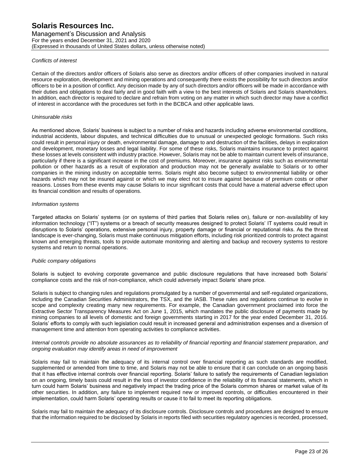Management's Discussion and Analysis For the years ended December 31, 2021 and 2020 (Expressed in thousands of United States dollars, unless otherwise noted)

## *Conflicts of interest*

Certain of the directors and/or officers of Solaris also serve as directors and/or officers of other companies involved in natural resource exploration, development and mining operations and consequently there exists the possibility for such directors and/or officers to be in a position of conflict. Any decision made by any of such directors and/or officers will be made in accordance with their duties and obligations to deal fairly and in good faith with a view to the best interests of Solaris and Solaris shareholders. In addition, each director is required to declare and refrain from voting on any matter in which such director may have a conflict of interest in accordance with the procedures set forth in the BCBCA and other applicable laws.

## *Uninsurable risks*

As mentioned above, Solaris' business is subject to a number of risks and hazards including adverse environmental conditions, industrial accidents, labour disputes, and technical difficulties due to unusual or unexpected geologic formations. Such risks could result in personal injury or death, environmental damage, damage to and destruction of the facilities, delays in exploration and development, monetary losses and legal liability. For some of these risks, Solaris maintains insurance to protect against these losses at levels consistent with industry practice. However, Solaris may not be able to maintain current levels of insurance, particularly if there is a significant increase in the cost of premiums. Moreover, insurance against risks such as environmental pollution or other hazards as a result of exploration and production may not be generally available to Solaris or to other companies in the mining industry on acceptable terms. Solaris might also become subject to environmental liability or other hazards which may not be insured against or which we may elect not to insure against because of premium costs or other reasons. Losses from these events may cause Solaris to incur significant costs that could have a material adverse effect upon its financial condition and results of operations.

## *Information systems*

Targeted attacks on Solaris' systems (or on systems of third parties that Solaris relies on), failure or non-availability of key information technology ("IT") systems or a breach of security measures designed to protect Solaris' IT systems could result in disruptions to Solaris' operations, extensive personal injury, property damage or financial or reputational risks. As the threat landscape is ever-changing, Solaris must make continuous mitigation efforts, including risk prioritized controls to protect against known and emerging threats, tools to provide automate monitoring and alerting and backup and recovery systems to restore systems and return to normal operations.

## *Public company obligations*

Solaris is subject to evolving corporate governance and public disclosure regulations that have increased both Solaris' compliance costs and the risk of non-compliance, which could adversely impact Solaris' share price.

Solaris is subject to changing rules and regulations promulgated by a number of governmental and self-regulated organizations, including the Canadian Securities Administrators, the TSX, and the IASB. These rules and regulations continue to evolve in scope and complexity creating many new requirements. For example, the Canadian government proclaimed into force the Extractive Sector Transparency Measures Act on June 1, 2015, which mandates the public disclosure of payments made by mining companies to all levels of domestic and foreign governments starting in 2017 for the year ended December 31, 2016. Solaris' efforts to comply with such legislation could result in increased general and administration expenses and a diversion of management time and attention from operating activities to compliance activities.

#### *Internal controls provide no absolute assurances as to reliability of financial reporting and financial statement preparation, and ongoing evaluation may identify areas in need of improvement*

Solaris may fail to maintain the adequacy of its internal control over financial reporting as such standards are modified, supplemented or amended from time to time, and Solaris may not be able to ensure that it can conclude on an ongoing basis that it has effective internal controls over financial reporting. Solaris' failure to satisfy the requirements of Canadian legislation on an ongoing, timely basis could result in the loss of investor confidence in the reliability of its financial statements, which in turn could harm Solaris' business and negatively impact the trading price of the Solaris common shares or market value of its other securities. In addition, any failure to implement required new or improved controls, or difficulties encountered in their implementation, could harm Solaris' operating results or cause it to fail to meet its reporting obligations.

Solaris may fail to maintain the adequacy of its disclosure controls. Disclosure controls and procedures are designed to ensure that the information required to be disclosed by Solaris in reports filed with securities regulatory agencies is recorded, processed,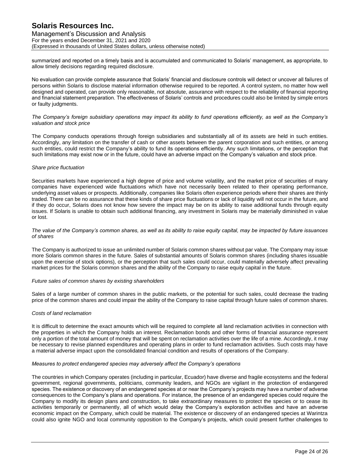Management's Discussion and Analysis For the years ended December 31, 2021 and 2020 (Expressed in thousands of United States dollars, unless otherwise noted)

summarized and reported on a timely basis and is accumulated and communicated to Solaris' management, as appropriate, to allow timely decisions regarding required disclosure.

No evaluation can provide complete assurance that Solaris' financial and disclosure controls will detect or uncover all failures of persons within Solaris to disclose material information otherwise required to be reported. A control system, no matter how well designed and operated, can provide only reasonable, not absolute, assurance with respect to the reliability of financial reporting and financial statement preparation. The effectiveness of Solaris' controls and procedures could also be limited by simple errors or faulty judgments.

#### *The Company's foreign subsidiary operations may impact its ability to fund operations efficiently, as well as the Company's valuation and stock price*

The Company conducts operations through foreign subsidiaries and substantially all of its assets are held in such entities. Accordingly, any limitation on the transfer of cash or other assets between the parent corporation and such entities, or among such entities, could restrict the Company's ability to fund its operations efficiently. Any such limitations, or the perception that such limitations may exist now or in the future, could have an adverse impact on the Company's valuation and stock price.

## *Share price fluctuation*

Securities markets have experienced a high degree of price and volume volatility, and the market price of securities of many companies have experienced wide fluctuations which have not necessarily been related to their operating performance, underlying asset values or prospects. Additionally, companies like Solaris often experience periods where their shares are thinly traded. There can be no assurance that these kinds of share price fluctuations or lack of liquidity will not occur in the future, and if they do occur, Solaris does not know how severe the impact may be on its ability to raise additional funds through equity issues. If Solaris is unable to obtain such additional financing, any investment in Solaris may be materially diminished in value or lost.

*The value of the Company's common shares, as well as its ability to raise equity capital, may be impacted by future issuances of shares*

The Company is authorized to issue an unlimited number of Solaris common shares without par value. The Company may issue more Solaris common shares in the future. Sales of substantial amounts of Solaris common shares (including shares issuable upon the exercise of stock options), or the perception that such sales could occur, could materially adversely affect prevailing market prices for the Solaris common shares and the ability of the Company to raise equity capital in the future.

## *Future sales of common shares by existing shareholders*

Sales of a large number of common shares in the public markets, or the potential for such sales, could decrease the trading price of the common shares and could impair the ability of the Company to raise capital through future sales of common shares.

# *Costs of land reclamation*

It is difficult to determine the exact amounts which will be required to complete all land reclamation activities in connection with the properties in which the Company holds an interest. Reclamation bonds and other forms of financial assurance represent only a portion of the total amount of money that will be spent on reclamation activities over the life of a mine. Accordingly, it may be necessary to revise planned expenditures and operating plans in order to fund reclamation activities. Such costs may have a material adverse impact upon the consolidated financial condition and results of operations of the Company.

## *Measures to protect endangered species may adversely affect the Company's operations*

The countries in which Company operates (including in particular, Ecuador) have diverse and fragile ecosystems and the federal government, regional governments, politicians, community leaders, and NGOs are vigilant in the protection of endangered species. The existence or discovery of an endangered species at or near the Company's projects may have a number of adverse consequences to the Company's plans and operations. For instance, the presence of an endangered species could require the Company to modify its design plans and construction, to take extraordinary measures to protect the species or to cease its activities temporarily or permanently, all of which would delay the Company's exploration activities and have an adverse economic impact on the Company, which could be material. The existence or discovery of an endangered species at Warintza could also ignite NGO and local community opposition to the Company's projects, which could present further challenges to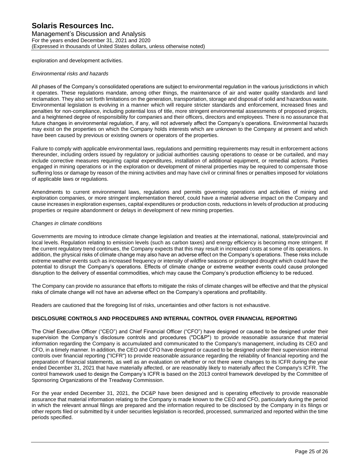Management's Discussion and Analysis For the years ended December 31, 2021 and 2020 (Expressed in thousands of United States dollars, unless otherwise noted)

exploration and development activities.

#### *Environmental risks and hazards*

All phases of the Company's consolidated operations are subject to environmental regulation in the various jurisdictions in which it operates. These regulations mandate, among other things, the maintenance of air and water quality standards and land reclamation. They also set forth limitations on the generation, transportation, storage and disposal of solid and hazardous waste. Environmental legislation is evolving in a manner which will require stricter standards and enforcement, increased fines and penalties for non-compliance, including potential loss of title, more stringent environmental assessments of proposed projects, and a heightened degree of responsibility for companies and their officers, directors and employees. There is no assurance that future changes in environmental regulation, if any, will not adversely affect the Company's operations. Environmental hazards may exist on the properties on which the Company holds interests which are unknown to the Company at present and which have been caused by previous or existing owners or operators of the properties.

Failure to comply with applicable environmental laws, regulations and permitting requirements may result in enforcement actions thereunder, including orders issued by regulatory or judicial authorities causing operations to cease or be curtailed, and may include corrective measures requiring capital expenditures, installation of additional equipment, or remedial actions. Parties engaged in mining operations or in the exploration or development of mineral properties may be required to compensate those suffering loss or damage by reason of the mining activities and may have civil or criminal fines or penalties imposed for violations of applicable laws or regulations.

Amendments to current environmental laws, regulations and permits governing operations and activities of mining and exploration companies, or more stringent implementation thereof, could have a material adverse impact on the Company and cause increases in exploration expenses, capital expenditures or production costs, reductions in levels of production at producing properties or require abandonment or delays in development of new mining properties.

## *Changes in climate conditions*

Governments are moving to introduce climate change legislation and treaties at the international, national, state/provincial and local levels. Regulation relating to emission levels (such as carbon taxes) and energy efficiency is becoming more stringent. If the current regulatory trend continues, the Company expects that this may result in increased costs at some of its operations. In addition, the physical risks of climate change may also have an adverse effect on the Company's operations. These risks include extreme weather events such as increased frequency or intensity of wildfire seasons or prolonged drought which could have the potential to disrupt the Company's operations. Effects of climate change or extreme weather events could cause prolonged disruption to the delivery of essential commodities, which may cause the Company's production efficiency to be reduced.

The Company can provide no assurance that efforts to mitigate the risks of climate changes will be effective and that the physical risks of climate change will not have an adverse effect on the Company's operations and profitability.

Readers are cautioned that the foregoing list of risks, uncertainties and other factors is not exhaustive.

# **DISCLOSURE CONTROLS AND PROCEDURES AND INTERNAL CONTROL OVER FINANCIAL REPORTING**

The Chief Executive Officer ("CEO") and Chief Financial Officer ("CFO") have designed or caused to be designed under their supervision the Company's disclosure controls and procedures ("DC&P") to provide reasonable assurance that material information regarding the Company is accumulated and communicated to the Company's management, including its CEO and CFO, in a timely manner. In addition, the CEO and CFO have designed or caused to be designed under their supervision internal controls over financial reporting ("ICFR") to provide reasonable assurance regarding the reliability of financial reporting and the preparation of financial statements, as well as an evaluation on whether or not there were changes to its ICFR during the year ended December 31, 2021 that have materially affected, or are reasonably likely to materially affect the Company's ICFR. The control framework used to design the Company's ICFR is based on the 2013 control framework developed by the Committee of Sponsoring Organizations of the Treadway Commission.

For the year ended December 31, 2021, the DC&P have been designed and is operating effectively to provide reasonable assurance that material information relating to the Company is made known to the CEO and CFO, particularly during the period in which the relevant annual filings are prepared and the information required to be disclosed by the Company in its filings or other reports filed or submitted by it under securities legislation is recorded, processed, summarized and reported within the time periods specified.